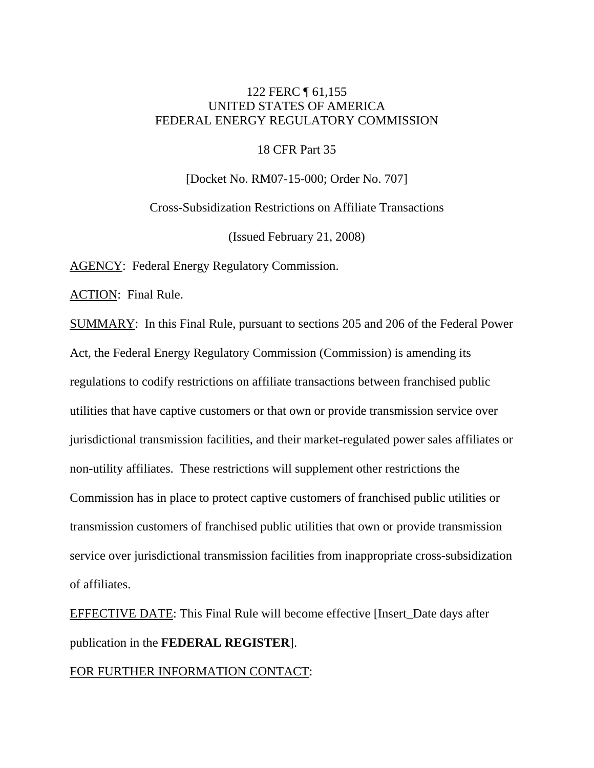# 122 FERC ¶ 61,155 UNITED STATES OF AMERICA FEDERAL ENERGY REGULATORY COMMISSION

18 CFR Part 35

[Docket No. RM07-15-000; Order No. 707]

Cross-Subsidization Restrictions on Affiliate Transactions

(Issued February 21, 2008)

AGENCY: Federal Energy Regulatory Commission.

ACTION: Final Rule.

SUMMARY: In this Final Rule, pursuant to sections 205 and 206 of the Federal Power Act, the Federal Energy Regulatory Commission (Commission) is amending its regulations to codify restrictions on affiliate transactions between franchised public utilities that have captive customers or that own or provide transmission service over jurisdictional transmission facilities, and their market-regulated power sales affiliates or non-utility affiliates. These restrictions will supplement other restrictions the Commission has in place to protect captive customers of franchised public utilities or transmission customers of franchised public utilities that own or provide transmission service over jurisdictional transmission facilities from inappropriate cross-subsidization of affiliates.

EFFECTIVE DATE: This Final Rule will become effective [Insert\_Date days after publication in the **FEDERAL REGISTER**].

# FOR FURTHER INFORMATION CONTACT: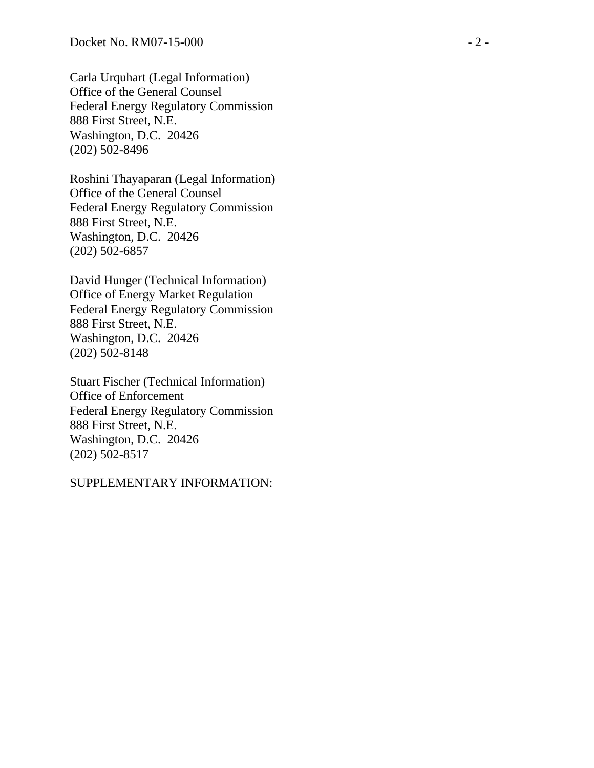Carla Urquhart (Legal Information) Office of the General Counsel Federal Energy Regulatory Commission 888 First Street, N.E. Washington, D.C. 20426 (202) 502-8496

Roshini Thayaparan (Legal Information) Office of the General Counsel Federal Energy Regulatory Commission 888 First Street, N.E. Washington, D.C. 20426 (202) 502-6857

David Hunger (Technical Information) Office of Energy Market Regulation Federal Energy Regulatory Commission 888 First Street, N.E. Washington, D.C. 20426 (202) 502-8148

Stuart Fischer (Technical Information) Office of Enforcement Federal Energy Regulatory Commission 888 First Street, N.E. Washington, D.C. 20426 (202) 502-8517

#### SUPPLEMENTARY INFORMATION: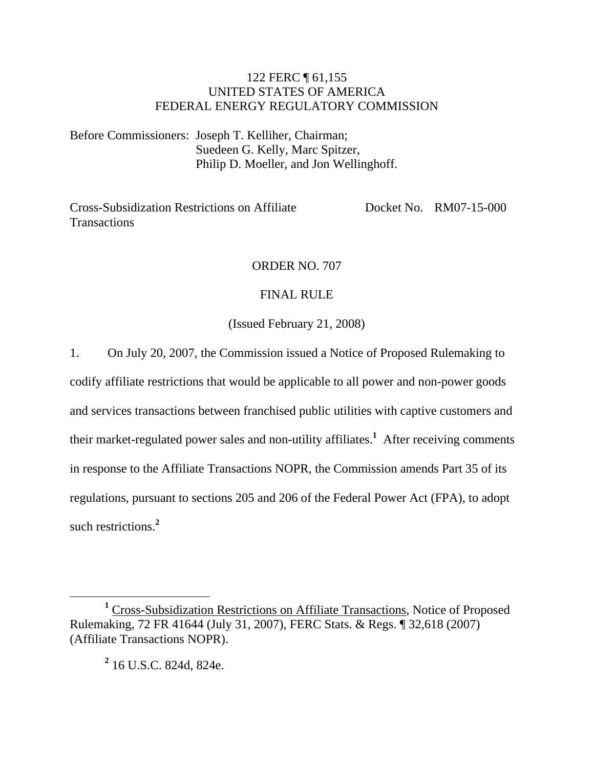# 122 FERC ¶ 61,155 UNITED STATES OF AMERICA FEDERAL ENERGY REGULATORY COMMISSION

Before Commissioners: Joseph T. Kelliher, Chairman; Suedeen G. Kelly, Marc Spitzer, Philip D. Moeller, and Jon Wellinghoff.

Cross-Subsidization Restrictions on Affiliate **Transactions** Docket No. RM07-15-000

## ORDER NO. 707

## FINAL RULE

## (Issued February 21, 2008)

1. On July 20, 2007, the Commission issued a Notice of Proposed Rulemaking to

codify affiliate restrictions that would be applicable to all power and non-power goods and services transactions between franchised public utilities with captive customers and their market-regulated power sales and non-utility affiliates.**<sup>1</sup>** After receiving comments in response to the Affiliate Transactions NOPR, the Commission amends Part 35 of its regulations, pursuant to sections 205 and 206 of the Federal Power Act (FPA), to adopt such restrictions.**<sup>2</sup>**

**2** 16 U.S.C. 824d, 824e.

<sup>&</sup>lt;u>1</u> <sup>1</sup> Cross-Subsidization Restrictions on Affiliate Transactions, Notice of Proposed Rulemaking, 72 FR 41644 (July 31, 2007), FERC Stats. & Regs. ¶ 32,618 (2007) (Affiliate Transactions NOPR).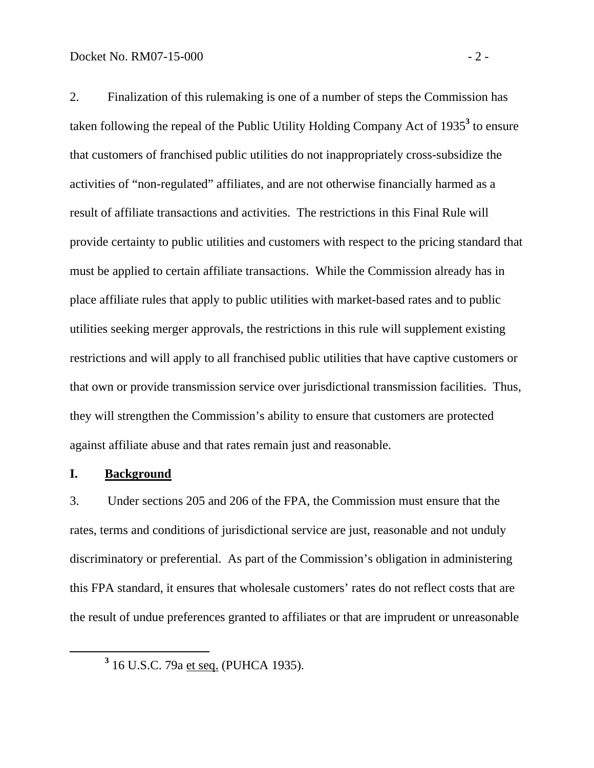2. Finalization of this rulemaking is one of a number of steps the Commission has taken following the repeal of the Public Utility Holding Company Act of 1935<sup>3</sup> to ensure that customers of franchised public utilities do not inappropriately cross-subsidize the activities of "non-regulated" affiliates, and are not otherwise financially harmed as a result of affiliate transactions and activities. The restrictions in this Final Rule will provide certainty to public utilities and customers with respect to the pricing standard that must be applied to certain affiliate transactions. While the Commission already has in place affiliate rules that apply to public utilities with market-based rates and to public utilities seeking merger approvals, the restrictions in this rule will supplement existing restrictions and will apply to all franchised public utilities that have captive customers or that own or provide transmission service over jurisdictional transmission facilities. Thus, they will strengthen the Commission's ability to ensure that customers are protected against affiliate abuse and that rates remain just and reasonable.

### **I. Background**

3. Under sections 205 and 206 of the FPA, the Commission must ensure that the rates, terms and conditions of jurisdictional service are just, reasonable and not unduly discriminatory or preferential. As part of the Commission's obligation in administering this FPA standard, it ensures that wholesale customers' rates do not reflect costs that are the result of undue preferences granted to affiliates or that are imprudent or unreasonable

**<sup>3</sup>** 16 U.S.C. 79a et seq. (PUHCA 1935).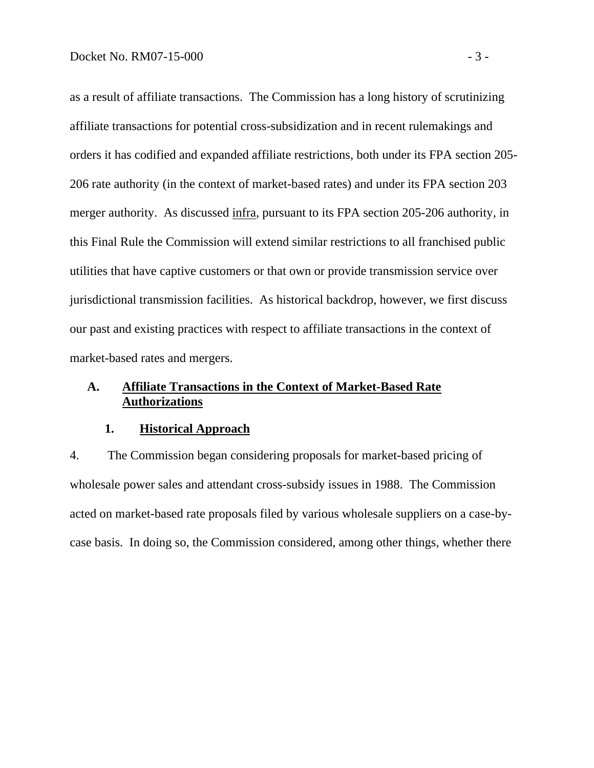as a result of affiliate transactions. The Commission has a long history of scrutinizing affiliate transactions for potential cross-subsidization and in recent rulemakings and orders it has codified and expanded affiliate restrictions, both under its FPA section 205- 206 rate authority (in the context of market-based rates) and under its FPA section 203 merger authority. As discussed infra, pursuant to its FPA section 205-206 authority, in this Final Rule the Commission will extend similar restrictions to all franchised public utilities that have captive customers or that own or provide transmission service over jurisdictional transmission facilities. As historical backdrop, however, we first discuss our past and existing practices with respect to affiliate transactions in the context of market-based rates and mergers.

# **A. Affiliate Transactions in the Context of Market-Based Rate Authorizations**

### **1. Historical Approach**

4. The Commission began considering proposals for market-based pricing of wholesale power sales and attendant cross-subsidy issues in 1988. The Commission acted on market-based rate proposals filed by various wholesale suppliers on a case-bycase basis. In doing so, the Commission considered, among other things, whether there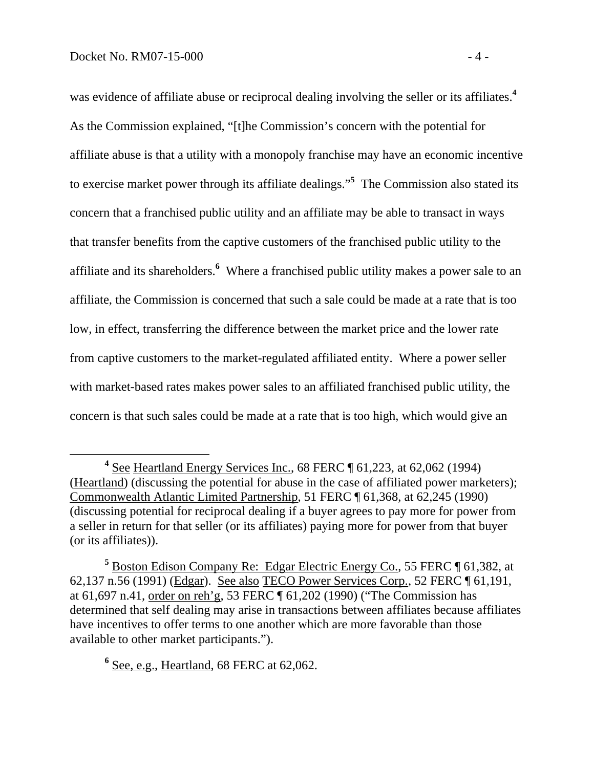was evidence of affiliate abuse or reciprocal dealing involving the seller or its affiliates.**<sup>4</sup>** As the Commission explained, "[t]he Commission's concern with the potential for affiliate abuse is that a utility with a monopoly franchise may have an economic incentive to exercise market power through its affiliate dealings."**<sup>5</sup>** The Commission also stated its concern that a franchised public utility and an affiliate may be able to transact in ways that transfer benefits from the captive customers of the franchised public utility to the affiliate and its shareholders.**<sup>6</sup>** Where a franchised public utility makes a power sale to an affiliate, the Commission is concerned that such a sale could be made at a rate that is too low, in effect, transferring the difference between the market price and the lower rate from captive customers to the market-regulated affiliated entity. Where a power seller with market-based rates makes power sales to an affiliated franchised public utility, the concern is that such sales could be made at a rate that is too high, which would give an

**6** See, e.g., Heartland, 68 FERC at 62,062.

**<sup>4</sup>** <sup>4</sup> See Heartland Energy Services Inc., 68 FERC ¶ 61,223, at 62,062 (1994) (Heartland) (discussing the potential for abuse in the case of affiliated power marketers); Commonwealth Atlantic Limited Partnership, 51 FERC ¶ 61,368, at 62,245 (1990) (discussing potential for reciprocal dealing if a buyer agrees to pay more for power from a seller in return for that seller (or its affiliates) paying more for power from that buyer (or its affiliates)).

<sup>&</sup>lt;sup>5</sup> Boston Edison Company Re: Edgar Electric Energy Co., 55 FERC ¶ 61,382, at 62,137 n.56 (1991) (Edgar). See also TECO Power Services Corp., 52 FERC ¶ 61,191, at 61,697 n.41, order on reh'g, 53 FERC ¶ 61,202 (1990) ("The Commission has determined that self dealing may arise in transactions between affiliates because affiliates have incentives to offer terms to one another which are more favorable than those available to other market participants.").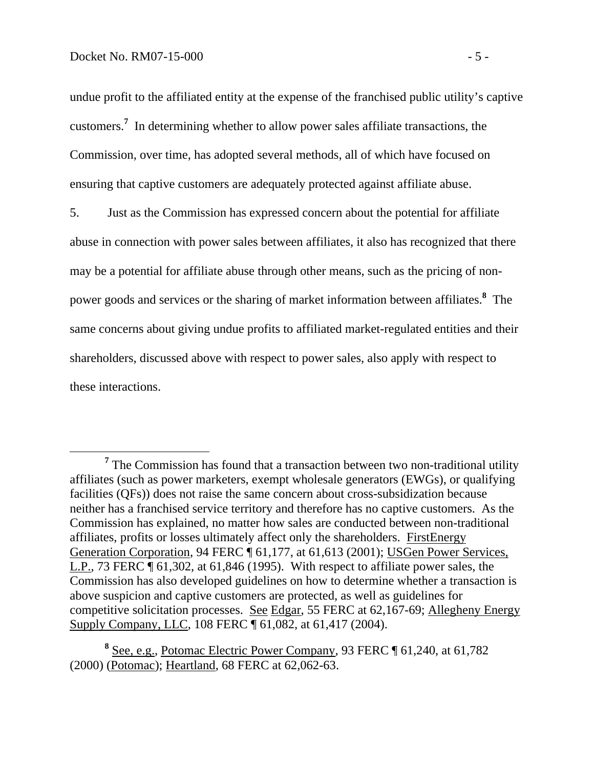undue profit to the affiliated entity at the expense of the franchised public utility's captive customers.**<sup>7</sup>** In determining whether to allow power sales affiliate transactions, the Commission, over time, has adopted several methods, all of which have focused on ensuring that captive customers are adequately protected against affiliate abuse.

5. Just as the Commission has expressed concern about the potential for affiliate abuse in connection with power sales between affiliates, it also has recognized that there may be a potential for affiliate abuse through other means, such as the pricing of nonpower goods and services or the sharing of market information between affiliates.**<sup>8</sup>** The same concerns about giving undue profits to affiliated market-regulated entities and their shareholders, discussed above with respect to power sales, also apply with respect to these interactions.

**<sup>7</sup>**  $<sup>7</sup>$  The Commission has found that a transaction between two non-traditional utility</sup> affiliates (such as power marketers, exempt wholesale generators (EWGs), or qualifying facilities (QFs)) does not raise the same concern about cross-subsidization because neither has a franchised service territory and therefore has no captive customers. As the Commission has explained, no matter how sales are conducted between non-traditional affiliates, profits or losses ultimately affect only the shareholders. FirstEnergy Generation Corporation, 94 FERC ¶ 61,177, at 61,613 (2001); USGen Power Services, L.P., 73 FERC ¶ 61,302, at 61,846 (1995). With respect to affiliate power sales, the Commission has also developed guidelines on how to determine whether a transaction is above suspicion and captive customers are protected, as well as guidelines for competitive solicitation processes. See Edgar, 55 FERC at 62,167-69; Allegheny Energy Supply Company, LLC, 108 FERC ¶ 61,082, at 61,417 (2004).

**<sup>8</sup>** See, e.g., Potomac Electric Power Company, 93 FERC ¶ 61,240, at 61,782 (2000) (Potomac); Heartland, 68 FERC at 62,062-63.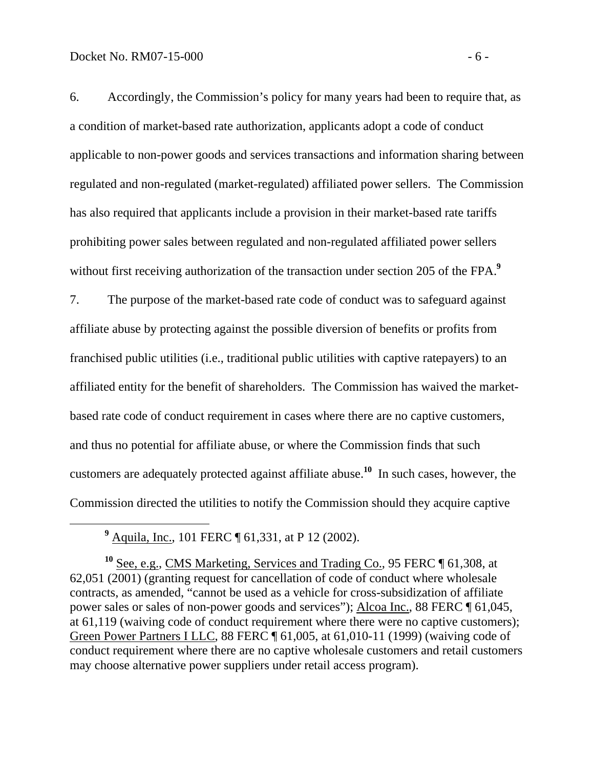6. Accordingly, the Commission's policy for many years had been to require that, as a condition of market-based rate authorization, applicants adopt a code of conduct applicable to non-power goods and services transactions and information sharing between regulated and non-regulated (market-regulated) affiliated power sellers. The Commission has also required that applicants include a provision in their market-based rate tariffs prohibiting power sales between regulated and non-regulated affiliated power sellers without first receiving authorization of the transaction under section 205 of the FPA.<sup>9</sup>

7. The purpose of the market-based rate code of conduct was to safeguard against affiliate abuse by protecting against the possible diversion of benefits or profits from franchised public utilities (i.e., traditional public utilities with captive ratepayers) to an affiliated entity for the benefit of shareholders. The Commission has waived the marketbased rate code of conduct requirement in cases where there are no captive customers, and thus no potential for affiliate abuse, or where the Commission finds that such customers are adequately protected against affiliate abuse.**<sup>10</sup>** In such cases, however, the Commission directed the utilities to notify the Commission should they acquire captive

 **<sup>9</sup>** <sup>9</sup> Aquila, Inc., 101 FERC ¶ 61,331, at P 12 (2002).

**<sup>10</sup>** See, e.g., CMS Marketing, Services and Trading Co., 95 FERC ¶ 61,308, at 62,051 (2001) (granting request for cancellation of code of conduct where wholesale contracts, as amended, "cannot be used as a vehicle for cross-subsidization of affiliate power sales or sales of non-power goods and services"); Alcoa Inc., 88 FERC ¶ 61,045, at 61,119 (waiving code of conduct requirement where there were no captive customers); Green Power Partners I LLC, 88 FERC ¶ 61,005, at 61,010-11 (1999) (waiving code of conduct requirement where there are no captive wholesale customers and retail customers may choose alternative power suppliers under retail access program).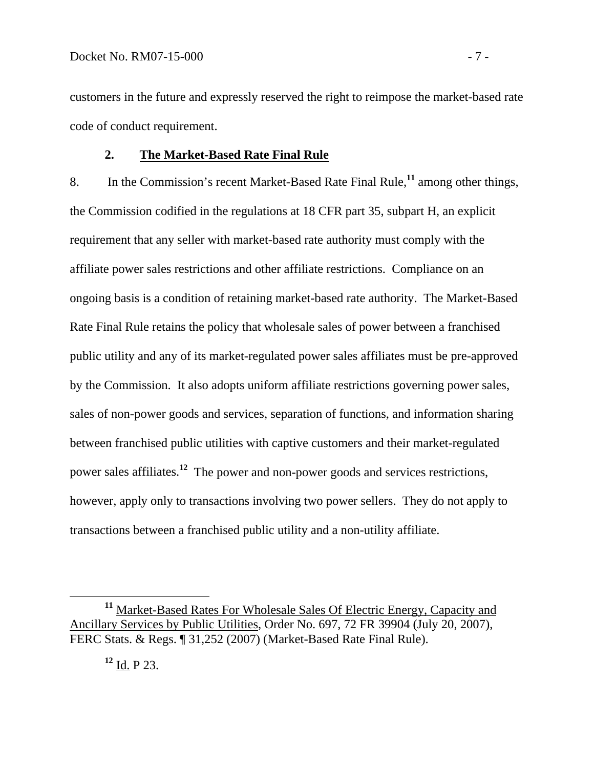customers in the future and expressly reserved the right to reimpose the market-based rate code of conduct requirement.

## **2. The Market-Based Rate Final Rule**

8. In the Commission's recent Market-Based Rate Final Rule,**<sup>11</sup>** among other things, the Commission codified in the regulations at 18 CFR part 35, subpart H, an explicit requirement that any seller with market-based rate authority must comply with the affiliate power sales restrictions and other affiliate restrictions. Compliance on an ongoing basis is a condition of retaining market-based rate authority. The Market-Based Rate Final Rule retains the policy that wholesale sales of power between a franchised public utility and any of its market-regulated power sales affiliates must be pre-approved by the Commission. It also adopts uniform affiliate restrictions governing power sales, sales of non-power goods and services, separation of functions, and information sharing between franchised public utilities with captive customers and their market-regulated power sales affiliates.**<sup>12</sup>** The power and non-power goods and services restrictions, however, apply only to transactions involving two power sellers. They do not apply to transactions between a franchised public utility and a non-utility affiliate.

**<sup>11</sup>** Market-Based Rates For Wholesale Sales Of Electric Energy, Capacity and Ancillary Services by Public Utilities, Order No. 697, 72 FR 39904 (July 20, 2007), FERC Stats. & Regs. ¶ 31,252 (2007) (Market-Based Rate Final Rule).

**<sup>12</sup>** Id. P 23.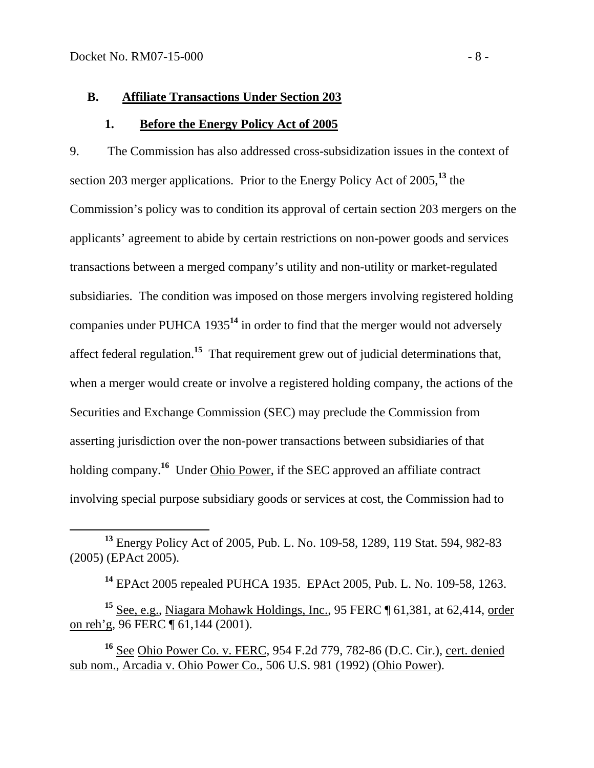#### **B. Affiliate Transactions Under Section 203**

#### **1. Before the Energy Policy Act of 2005**

9. The Commission has also addressed cross-subsidization issues in the context of section 203 merger applications. Prior to the Energy Policy Act of 2005,**<sup>13</sup>** the Commission's policy was to condition its approval of certain section 203 mergers on the applicants' agreement to abide by certain restrictions on non-power goods and services transactions between a merged company's utility and non-utility or market-regulated subsidiaries. The condition was imposed on those mergers involving registered holding companies under PUHCA 1935**<sup>14</sup>** in order to find that the merger would not adversely affect federal regulation.**<sup>15</sup>** That requirement grew out of judicial determinations that, when a merger would create or involve a registered holding company, the actions of the Securities and Exchange Commission (SEC) may preclude the Commission from asserting jurisdiction over the non-power transactions between subsidiaries of that holding company.<sup>16</sup> Under Ohio Power, if the SEC approved an affiliate contract involving special purpose subsidiary goods or services at cost, the Commission had to

**<sup>14</sup>** EPAct 2005 repealed PUHCA 1935. EPAct 2005, Pub. L. No. 109-58, 1263.

**<sup>15</sup>** See, e.g., Niagara Mohawk Holdings, Inc., 95 FERC ¶ 61,381, at 62,414, order on reh'g, 96 FERC ¶ 61,144 (2001).

<sup>16</sup> See Ohio Power Co. v. FERC, 954 F.2d 779, 782-86 (D.C. Cir.), cert. denied sub nom., Arcadia v. Ohio Power Co., 506 U.S. 981 (1992) (Ohio Power).

**<sup>13</sup>** Energy Policy Act of 2005, Pub. L. No. 109-58, 1289, 119 Stat. 594, 982-83 (2005) (EPAct 2005).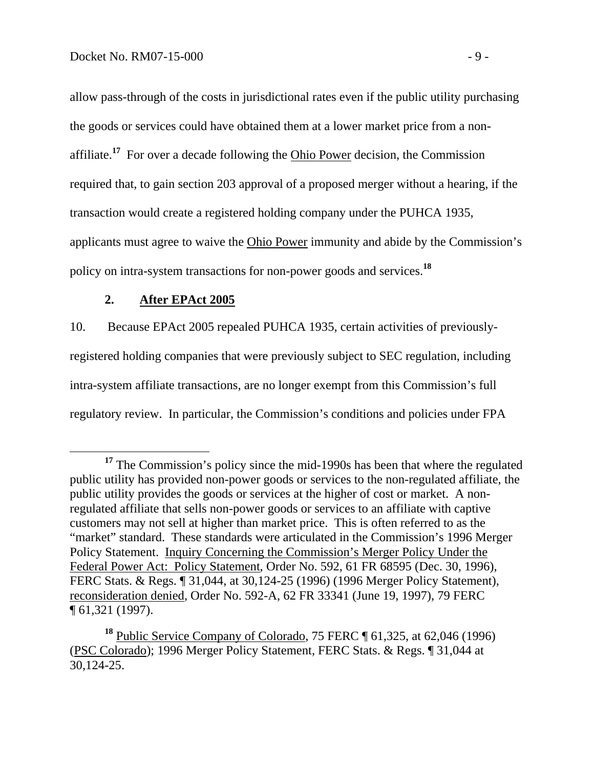allow pass-through of the costs in jurisdictional rates even if the public utility purchasing the goods or services could have obtained them at a lower market price from a nonaffiliate.**<sup>17</sup>** For over a decade following the Ohio Power decision, the Commission required that, to gain section 203 approval of a proposed merger without a hearing, if the transaction would create a registered holding company under the PUHCA 1935, applicants must agree to waive the Ohio Power immunity and abide by the Commission's policy on intra-system transactions for non-power goods and services.**<sup>18</sup>**

## **2. After EPAct 2005**

10. Because EPAct 2005 repealed PUHCA 1935, certain activities of previouslyregistered holding companies that were previously subject to SEC regulation, including intra-system affiliate transactions, are no longer exempt from this Commission's full regulatory review. In particular, the Commission's conditions and policies under FPA

<sup>&</sup>lt;sup>17</sup> The Commission's policy since the mid-1990s has been that where the regulated public utility has provided non-power goods or services to the non-regulated affiliate, the public utility provides the goods or services at the higher of cost or market. A nonregulated affiliate that sells non-power goods or services to an affiliate with captive customers may not sell at higher than market price. This is often referred to as the "market" standard. These standards were articulated in the Commission's 1996 Merger Policy Statement. Inquiry Concerning the Commission's Merger Policy Under the Federal Power Act: Policy Statement, Order No. 592, 61 FR 68595 (Dec. 30, 1996), FERC Stats. & Regs. ¶ 31,044, at 30,124-25 (1996) (1996 Merger Policy Statement), reconsideration denied, Order No. 592-A, 62 FR 33341 (June 19, 1997), 79 FERC  $\overline{\P}$  61,321 (1997).

<sup>&</sup>lt;sup>18</sup> Public Service Company of Colorado, 75 FERC ¶ 61,325, at 62,046 (1996) (PSC Colorado); 1996 Merger Policy Statement, FERC Stats. & Regs. ¶ 31,044 at 30,124-25.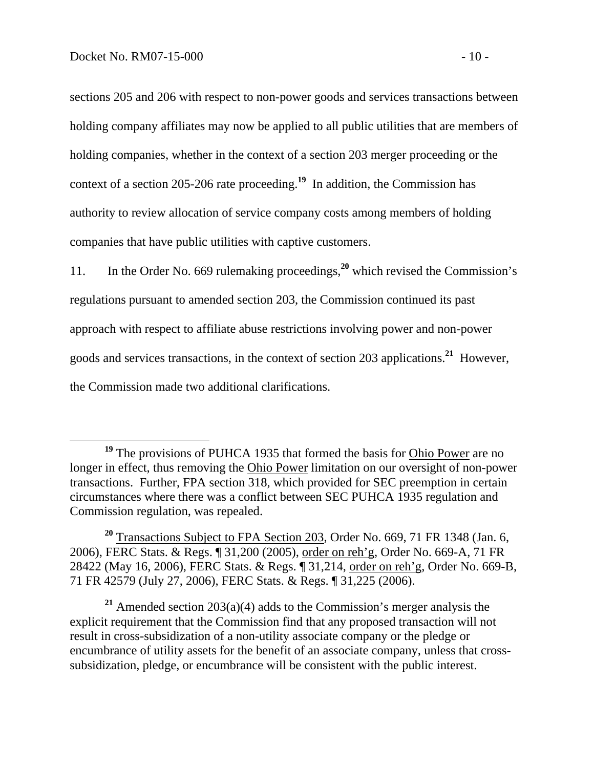sections 205 and 206 with respect to non-power goods and services transactions between holding company affiliates may now be applied to all public utilities that are members of holding companies, whether in the context of a section 203 merger proceeding or the context of a section 205-206 rate proceeding.**<sup>19</sup>** In addition, the Commission has authority to review allocation of service company costs among members of holding companies that have public utilities with captive customers.

11. In the Order No. 669 rulemaking proceedings,**<sup>20</sup>** which revised the Commission's regulations pursuant to amended section 203, the Commission continued its past approach with respect to affiliate abuse restrictions involving power and non-power goods and services transactions, in the context of section 203 applications.**<sup>21</sup>** However, the Commission made two additional clarifications.

**<sup>21</sup>** Amended section 203(a)(4) adds to the Commission's merger analysis the explicit requirement that the Commission find that any proposed transaction will not result in cross-subsidization of a non-utility associate company or the pledge or encumbrance of utility assets for the benefit of an associate company, unless that crosssubsidization, pledge, or encumbrance will be consistent with the public interest.

<sup>&</sup>lt;sup>19</sup> The provisions of PUHCA 1935 that formed the basis for **Ohio Power** are no longer in effect, thus removing the Ohio Power limitation on our oversight of non-power transactions. Further, FPA section 318, which provided for SEC preemption in certain circumstances where there was a conflict between SEC PUHCA 1935 regulation and Commission regulation, was repealed.

<sup>&</sup>lt;sup>20</sup> Transactions Subject to FPA Section 203, Order No. 669, 71 FR 1348 (Jan. 6, 2006), FERC Stats. & Regs. ¶ 31,200 (2005), order on reh'g, Order No. 669-A, 71 FR 28422 (May 16, 2006), FERC Stats. & Regs. ¶ 31,214, order on reh'g, Order No. 669-B, 71 FR 42579 (July 27, 2006), FERC Stats. & Regs. ¶ 31,225 (2006).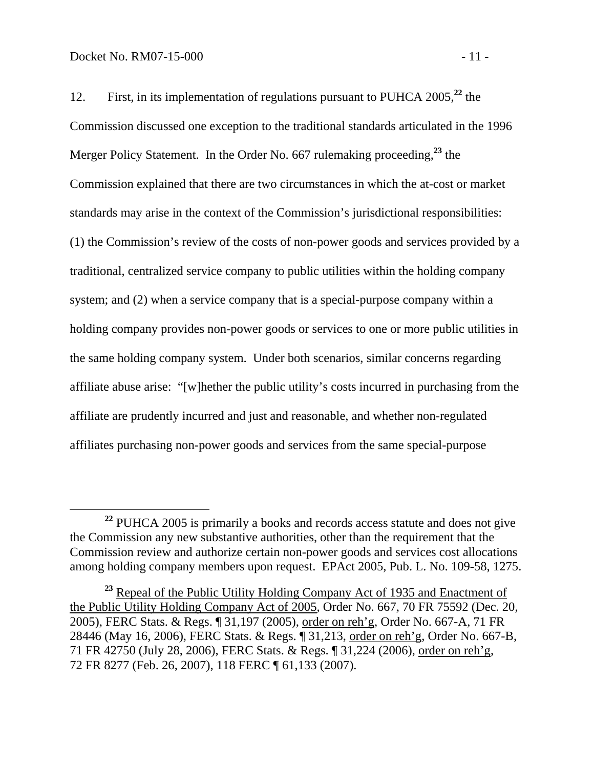12. First, in its implementation of regulations pursuant to PUHCA 2005,**<sup>22</sup>** the Commission discussed one exception to the traditional standards articulated in the 1996 Merger Policy Statement. In the Order No. 667 rulemaking proceeding,**<sup>23</sup>** the Commission explained that there are two circumstances in which the at-cost or market standards may arise in the context of the Commission's jurisdictional responsibilities: (1) the Commission's review of the costs of non-power goods and services provided by a traditional, centralized service company to public utilities within the holding company system; and (2) when a service company that is a special-purpose company within a holding company provides non-power goods or services to one or more public utilities in the same holding company system. Under both scenarios, similar concerns regarding affiliate abuse arise: "[w]hether the public utility's costs incurred in purchasing from the affiliate are prudently incurred and just and reasonable, and whether non-regulated affiliates purchasing non-power goods and services from the same special-purpose

**<sup>22</sup>** PUHCA 2005 is primarily a books and records access statute and does not give the Commission any new substantive authorities, other than the requirement that the Commission review and authorize certain non-power goods and services cost allocations among holding company members upon request. EPAct 2005, Pub. L. No. 109-58, 1275.

<sup>&</sup>lt;sup>23</sup> Repeal of the Public Utility Holding Company Act of 1935 and Enactment of the Public Utility Holding Company Act of 2005, Order No. 667, 70 FR 75592 (Dec. 20, 2005), FERC Stats. & Regs. ¶ 31,197 (2005), order on reh'g, Order No. 667-A, 71 FR 28446 (May 16, 2006), FERC Stats. & Regs. ¶ 31,213, order on reh'g, Order No. 667-B, 71 FR 42750 (July 28, 2006), FERC Stats. & Regs. ¶ 31,224 (2006), order on reh'g, 72 FR 8277 (Feb. 26, 2007), 118 FERC ¶ 61,133 (2007).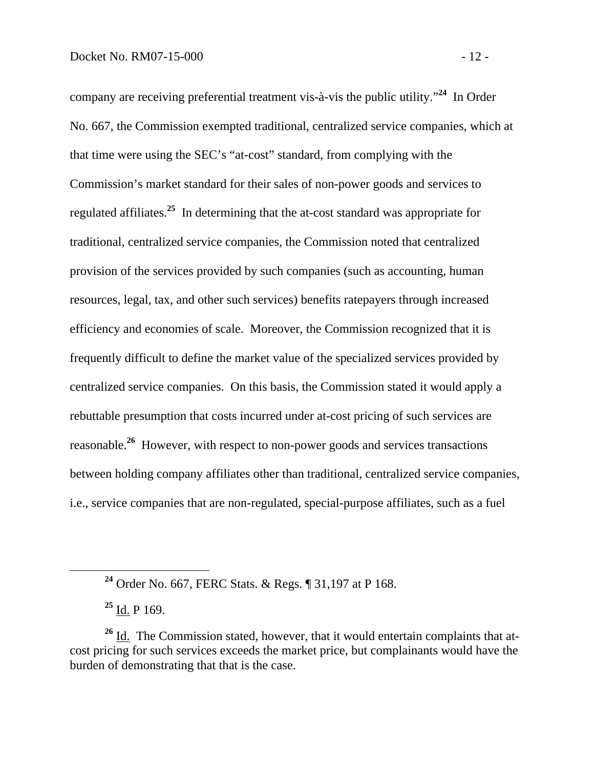company are receiving preferential treatment vis-à-vis the public utility."**<sup>24</sup>** In Order No. 667, the Commission exempted traditional, centralized service companies, which at that time were using the SEC's "at-cost" standard, from complying with the Commission's market standard for their sales of non-power goods and services to regulated affiliates.**<sup>25</sup>** In determining that the at-cost standard was appropriate for traditional, centralized service companies, the Commission noted that centralized provision of the services provided by such companies (such as accounting, human resources, legal, tax, and other such services) benefits ratepayers through increased efficiency and economies of scale. Moreover, the Commission recognized that it is frequently difficult to define the market value of the specialized services provided by centralized service companies. On this basis, the Commission stated it would apply a rebuttable presumption that costs incurred under at-cost pricing of such services are reasonable.**<sup>26</sup>** However, with respect to non-power goods and services transactions between holding company affiliates other than traditional, centralized service companies, i.e., service companies that are non-regulated, special-purpose affiliates, such as a fuel

**<sup>25</sup>** Id. P 169.

**<sup>24</sup>** Order No. 667, FERC Stats. & Regs. ¶ 31,197 at P 168.

**<sup>26</sup>** Id. The Commission stated, however, that it would entertain complaints that atcost pricing for such services exceeds the market price, but complainants would have the burden of demonstrating that that is the case.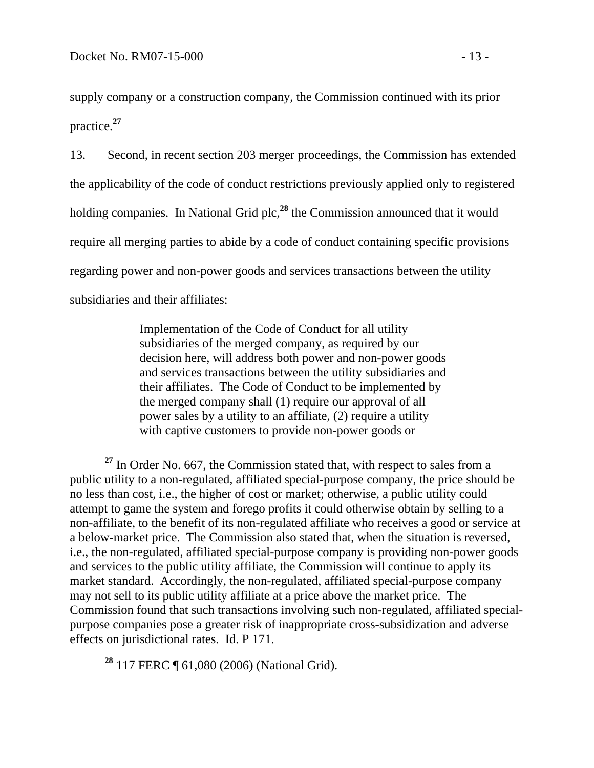supply company or a construction company, the Commission continued with its prior practice.**<sup>27</sup>**

13. Second, in recent section 203 merger proceedings, the Commission has extended the applicability of the code of conduct restrictions previously applied only to registered holding companies. In National Grid plc,<sup>28</sup> the Commission announced that it would require all merging parties to abide by a code of conduct containing specific provisions regarding power and non-power goods and services transactions between the utility subsidiaries and their affiliates:

> Implementation of the Code of Conduct for all utility subsidiaries of the merged company, as required by our decision here, will address both power and non-power goods and services transactions between the utility subsidiaries and their affiliates. The Code of Conduct to be implemented by the merged company shall (1) require our approval of all power sales by a utility to an affiliate, (2) require a utility with captive customers to provide non-power goods or

**<sup>28</sup>** 117 FERC ¶ 61,080 (2006) (National Grid).

**<sup>27</sup>** In Order No. 667, the Commission stated that, with respect to sales from a public utility to a non-regulated, affiliated special-purpose company, the price should be no less than cost, i.e., the higher of cost or market; otherwise, a public utility could attempt to game the system and forego profits it could otherwise obtain by selling to a non-affiliate, to the benefit of its non-regulated affiliate who receives a good or service at a below-market price. The Commission also stated that, when the situation is reversed, i.e., the non-regulated, affiliated special-purpose company is providing non-power goods and services to the public utility affiliate, the Commission will continue to apply its market standard. Accordingly, the non-regulated, affiliated special-purpose company may not sell to its public utility affiliate at a price above the market price. The Commission found that such transactions involving such non-regulated, affiliated specialpurpose companies pose a greater risk of inappropriate cross-subsidization and adverse effects on jurisdictional rates. Id. P 171.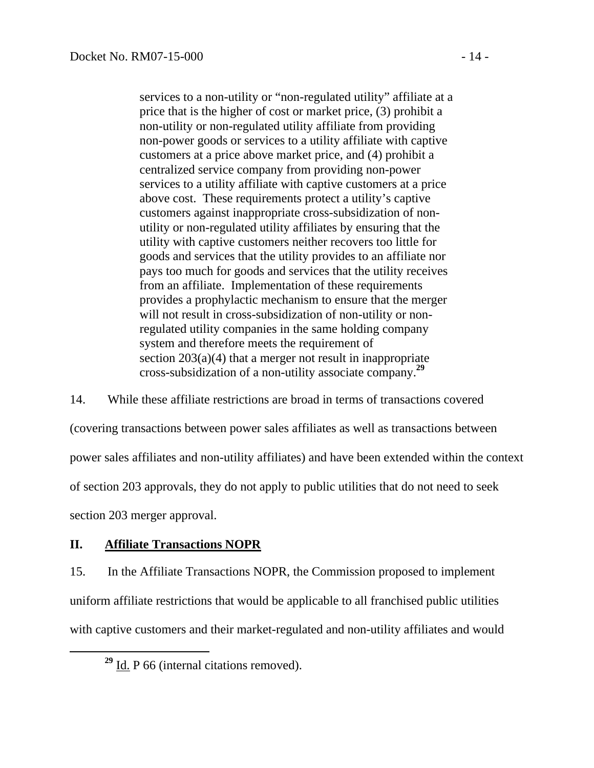services to a non-utility or "non-regulated utility" affiliate at a price that is the higher of cost or market price, (3) prohibit a non-utility or non-regulated utility affiliate from providing non-power goods or services to a utility affiliate with captive customers at a price above market price, and (4) prohibit a centralized service company from providing non-power services to a utility affiliate with captive customers at a price above cost. These requirements protect a utility's captive customers against inappropriate cross-subsidization of nonutility or non-regulated utility affiliates by ensuring that the utility with captive customers neither recovers too little for goods and services that the utility provides to an affiliate nor pays too much for goods and services that the utility receives from an affiliate. Implementation of these requirements provides a prophylactic mechanism to ensure that the merger will not result in cross-subsidization of non-utility or nonregulated utility companies in the same holding company system and therefore meets the requirement of section 203(a)(4) that a merger not result in inappropriate cross-subsidization of a non-utility associate company.**<sup>29</sup>**

14. While these affiliate restrictions are broad in terms of transactions covered (covering transactions between power sales affiliates as well as transactions between power sales affiliates and non-utility affiliates) and have been extended within the context of section 203 approvals, they do not apply to public utilities that do not need to seek section 203 merger approval.

# **II. Affiliate Transactions NOPR**

15. In the Affiliate Transactions NOPR, the Commission proposed to implement uniform affiliate restrictions that would be applicable to all franchised public utilities with captive customers and their market-regulated and non-utility affiliates and would

**<sup>29</sup>** Id. P 66 (internal citations removed).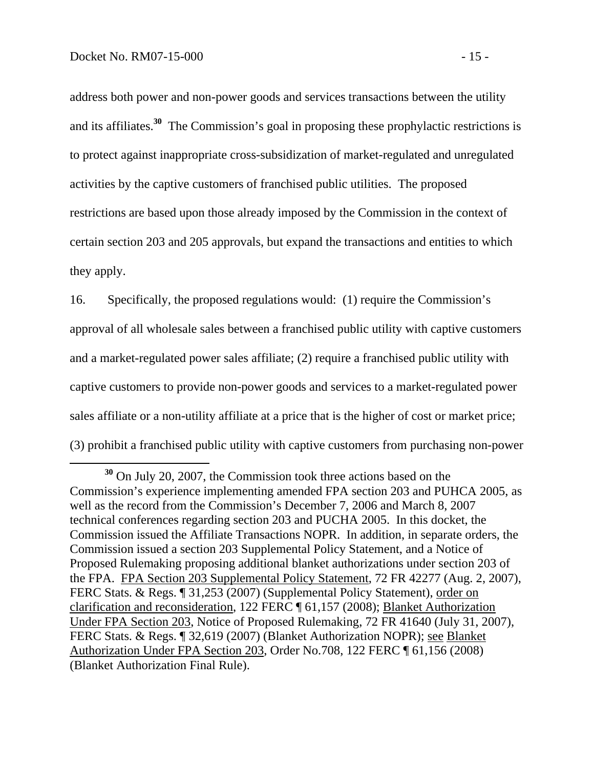address both power and non-power goods and services transactions between the utility and its affiliates.**<sup>30</sup>** The Commission's goal in proposing these prophylactic restrictions is to protect against inappropriate cross-subsidization of market-regulated and unregulated activities by the captive customers of franchised public utilities. The proposed restrictions are based upon those already imposed by the Commission in the context of certain section 203 and 205 approvals, but expand the transactions and entities to which they apply.

16. Specifically, the proposed regulations would: (1) require the Commission's approval of all wholesale sales between a franchised public utility with captive customers and a market-regulated power sales affiliate; (2) require a franchised public utility with captive customers to provide non-power goods and services to a market-regulated power sales affiliate or a non-utility affiliate at a price that is the higher of cost or market price; (3) prohibit a franchised public utility with captive customers from purchasing non-power

**<sup>30</sup>** On July 20, 2007, the Commission took three actions based on the Commission's experience implementing amended FPA section 203 and PUHCA 2005, as well as the record from the Commission's December 7, 2006 and March 8, 2007 technical conferences regarding section 203 and PUCHA 2005. In this docket, the Commission issued the Affiliate Transactions NOPR. In addition, in separate orders, the Commission issued a section 203 Supplemental Policy Statement, and a Notice of Proposed Rulemaking proposing additional blanket authorizations under section 203 of the FPA. FPA Section 203 Supplemental Policy Statement, 72 FR 42277 (Aug. 2, 2007), FERC Stats. & Regs. ¶ 31,253 (2007) (Supplemental Policy Statement), order on clarification and reconsideration, 122 FERC ¶ 61,157 (2008); Blanket Authorization Under FPA Section 203, Notice of Proposed Rulemaking, 72 FR 41640 (July 31, 2007), FERC Stats. & Regs. ¶ 32,619 (2007) (Blanket Authorization NOPR); see Blanket Authorization Under FPA Section 203, Order No.708, 122 FERC ¶ 61,156 (2008) (Blanket Authorization Final Rule).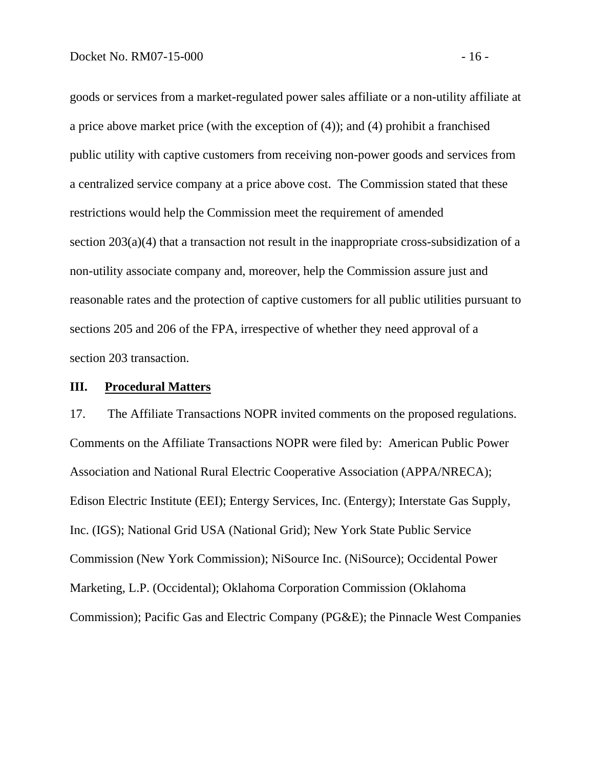goods or services from a market-regulated power sales affiliate or a non-utility affiliate at a price above market price (with the exception of (4)); and (4) prohibit a franchised public utility with captive customers from receiving non-power goods and services from a centralized service company at a price above cost. The Commission stated that these restrictions would help the Commission meet the requirement of amended section 203(a)(4) that a transaction not result in the inappropriate cross-subsidization of a non-utility associate company and, moreover, help the Commission assure just and reasonable rates and the protection of captive customers for all public utilities pursuant to sections 205 and 206 of the FPA, irrespective of whether they need approval of a section 203 transaction.

#### **III. Procedural Matters**

17. The Affiliate Transactions NOPR invited comments on the proposed regulations. Comments on the Affiliate Transactions NOPR were filed by: American Public Power Association and National Rural Electric Cooperative Association (APPA/NRECA); Edison Electric Institute (EEI); Entergy Services, Inc. (Entergy); Interstate Gas Supply, Inc. (IGS); National Grid USA (National Grid); New York State Public Service Commission (New York Commission); NiSource Inc. (NiSource); Occidental Power Marketing, L.P. (Occidental); Oklahoma Corporation Commission (Oklahoma Commission); Pacific Gas and Electric Company (PG&E); the Pinnacle West Companies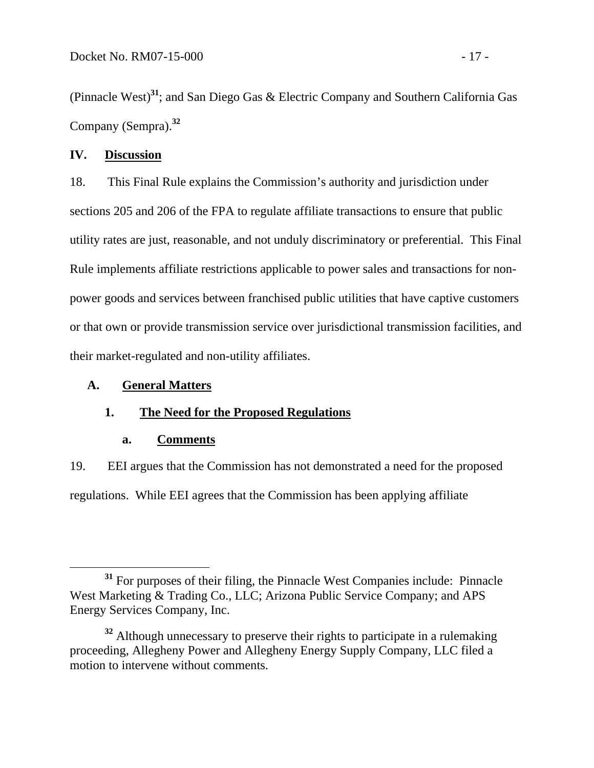(Pinnacle West)**<sup>31</sup>**; and San Diego Gas & Electric Company and Southern California Gas Company (Sempra).**<sup>32</sup>**

## **IV. Discussion**

18. This Final Rule explains the Commission's authority and jurisdiction under sections 205 and 206 of the FPA to regulate affiliate transactions to ensure that public utility rates are just, reasonable, and not unduly discriminatory or preferential. This Final Rule implements affiliate restrictions applicable to power sales and transactions for nonpower goods and services between franchised public utilities that have captive customers or that own or provide transmission service over jurisdictional transmission facilities, and their market-regulated and non-utility affiliates.

## **A. General Matters**

## **1. The Need for the Proposed Regulations**

## **a. Comments**

19. EEI argues that the Commission has not demonstrated a need for the proposed regulations. While EEI agrees that the Commission has been applying affiliate

**<sup>31</sup>** For purposes of their filing, the Pinnacle West Companies include: Pinnacle West Marketing & Trading Co., LLC; Arizona Public Service Company; and APS Energy Services Company, Inc.

<sup>&</sup>lt;sup>32</sup> Although unnecessary to preserve their rights to participate in a rulemaking proceeding, Allegheny Power and Allegheny Energy Supply Company, LLC filed a motion to intervene without comments.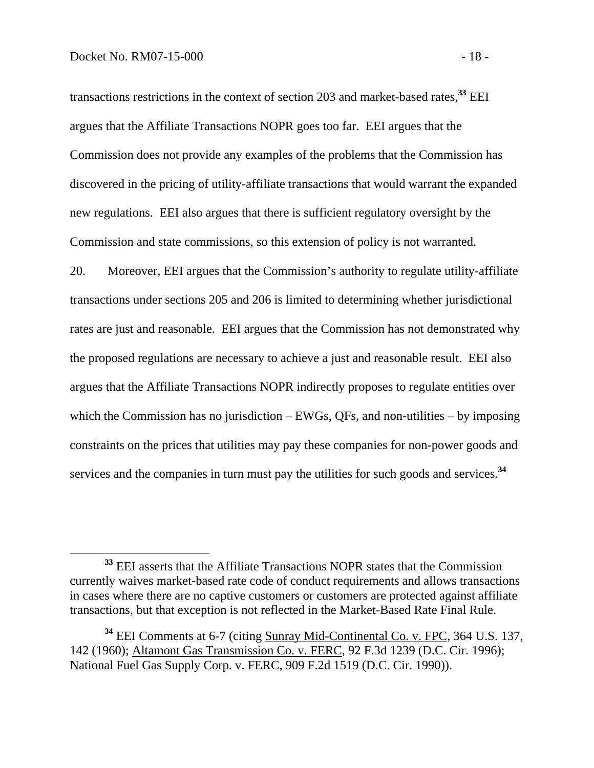transactions restrictions in the context of section 203 and market-based rates,**<sup>33</sup>** EEI argues that the Affiliate Transactions NOPR goes too far. EEI argues that the Commission does not provide any examples of the problems that the Commission has discovered in the pricing of utility-affiliate transactions that would warrant the expanded new regulations. EEI also argues that there is sufficient regulatory oversight by the Commission and state commissions, so this extension of policy is not warranted.

20. Moreover, EEI argues that the Commission's authority to regulate utility-affiliate transactions under sections 205 and 206 is limited to determining whether jurisdictional rates are just and reasonable. EEI argues that the Commission has not demonstrated why the proposed regulations are necessary to achieve a just and reasonable result. EEI also argues that the Affiliate Transactions NOPR indirectly proposes to regulate entities over which the Commission has no jurisdiction – EWGs, QFs, and non-utilities – by imposing constraints on the prices that utilities may pay these companies for non-power goods and services and the companies in turn must pay the utilities for such goods and services.**<sup>34</sup>**

**<sup>33</sup>** EEI asserts that the Affiliate Transactions NOPR states that the Commission currently waives market-based rate code of conduct requirements and allows transactions in cases where there are no captive customers or customers are protected against affiliate transactions, but that exception is not reflected in the Market-Based Rate Final Rule.

**<sup>34</sup>** EEI Comments at 6-7 (citing Sunray Mid-Continental Co. v. FPC, 364 U.S. 137, 142 (1960); Altamont Gas Transmission Co. v. FERC, 92 F.3d 1239 (D.C. Cir. 1996); National Fuel Gas Supply Corp. v. FERC, 909 F.2d 1519 (D.C. Cir. 1990)).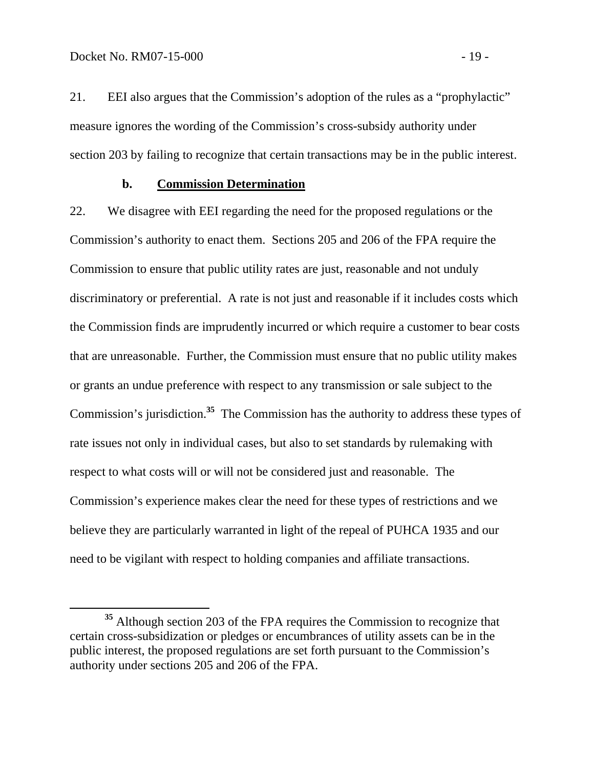21. EEI also argues that the Commission's adoption of the rules as a "prophylactic" measure ignores the wording of the Commission's cross-subsidy authority under section 203 by failing to recognize that certain transactions may be in the public interest.

#### **b. Commission Determination**

22. We disagree with EEI regarding the need for the proposed regulations or the Commission's authority to enact them. Sections 205 and 206 of the FPA require the Commission to ensure that public utility rates are just, reasonable and not unduly discriminatory or preferential. A rate is not just and reasonable if it includes costs which the Commission finds are imprudently incurred or which require a customer to bear costs that are unreasonable. Further, the Commission must ensure that no public utility makes or grants an undue preference with respect to any transmission or sale subject to the Commission's jurisdiction.**<sup>35</sup>** The Commission has the authority to address these types of rate issues not only in individual cases, but also to set standards by rulemaking with respect to what costs will or will not be considered just and reasonable. The Commission's experience makes clear the need for these types of restrictions and we believe they are particularly warranted in light of the repeal of PUHCA 1935 and our need to be vigilant with respect to holding companies and affiliate transactions.

**<sup>35</sup>** Although section 203 of the FPA requires the Commission to recognize that certain cross-subsidization or pledges or encumbrances of utility assets can be in the public interest, the proposed regulations are set forth pursuant to the Commission's authority under sections 205 and 206 of the FPA.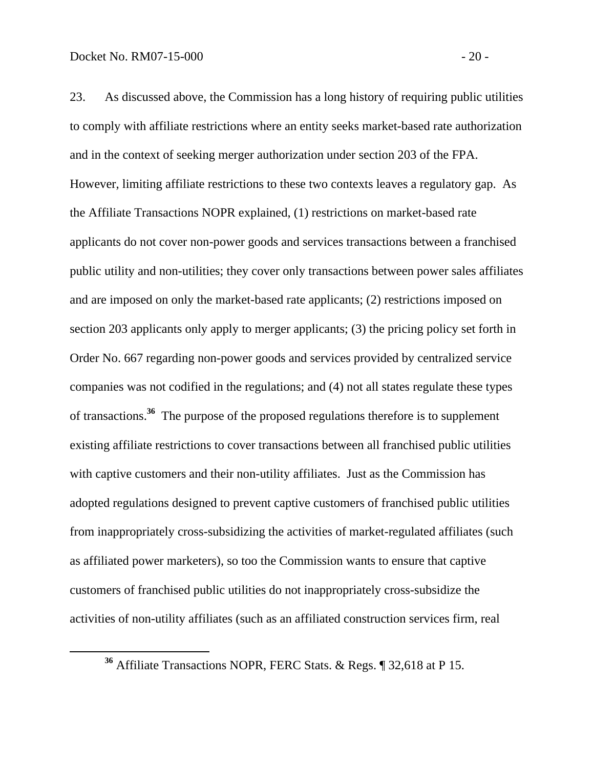23. As discussed above, the Commission has a long history of requiring public utilities to comply with affiliate restrictions where an entity seeks market-based rate authorization and in the context of seeking merger authorization under section 203 of the FPA. However, limiting affiliate restrictions to these two contexts leaves a regulatory gap. As the Affiliate Transactions NOPR explained, (1) restrictions on market-based rate applicants do not cover non-power goods and services transactions between a franchised public utility and non-utilities; they cover only transactions between power sales affiliates and are imposed on only the market-based rate applicants; (2) restrictions imposed on section 203 applicants only apply to merger applicants; (3) the pricing policy set forth in Order No. 667 regarding non-power goods and services provided by centralized service companies was not codified in the regulations; and (4) not all states regulate these types of transactions.**36** The purpose of the proposed regulations therefore is to supplement existing affiliate restrictions to cover transactions between all franchised public utilities with captive customers and their non-utility affiliates. Just as the Commission has adopted regulations designed to prevent captive customers of franchised public utilities from inappropriately cross-subsidizing the activities of market-regulated affiliates (such as affiliated power marketers), so too the Commission wants to ensure that captive customers of franchised public utilities do not inappropriately cross-subsidize the activities of non-utility affiliates (such as an affiliated construction services firm, real

**<sup>36</sup>** Affiliate Transactions NOPR, FERC Stats. & Regs. ¶ 32,618 at P 15.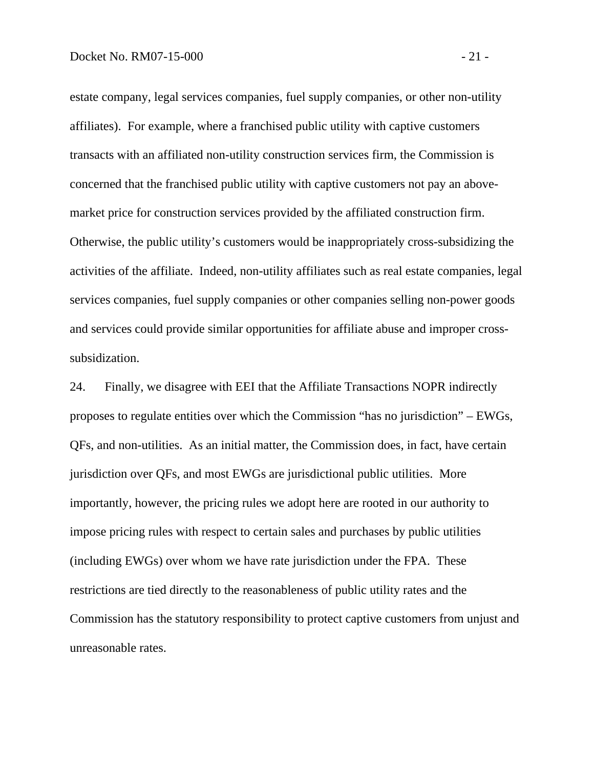estate company, legal services companies, fuel supply companies, or other non-utility affiliates). For example, where a franchised public utility with captive customers transacts with an affiliated non-utility construction services firm, the Commission is concerned that the franchised public utility with captive customers not pay an abovemarket price for construction services provided by the affiliated construction firm. Otherwise, the public utility's customers would be inappropriately cross-subsidizing the activities of the affiliate. Indeed, non-utility affiliates such as real estate companies, legal services companies, fuel supply companies or other companies selling non-power goods and services could provide similar opportunities for affiliate abuse and improper crosssubsidization.

24. Finally, we disagree with EEI that the Affiliate Transactions NOPR indirectly proposes to regulate entities over which the Commission "has no jurisdiction" – EWGs, QFs, and non-utilities. As an initial matter, the Commission does, in fact, have certain jurisdiction over QFs, and most EWGs are jurisdictional public utilities. More importantly, however, the pricing rules we adopt here are rooted in our authority to impose pricing rules with respect to certain sales and purchases by public utilities (including EWGs) over whom we have rate jurisdiction under the FPA. These restrictions are tied directly to the reasonableness of public utility rates and the Commission has the statutory responsibility to protect captive customers from unjust and unreasonable rates.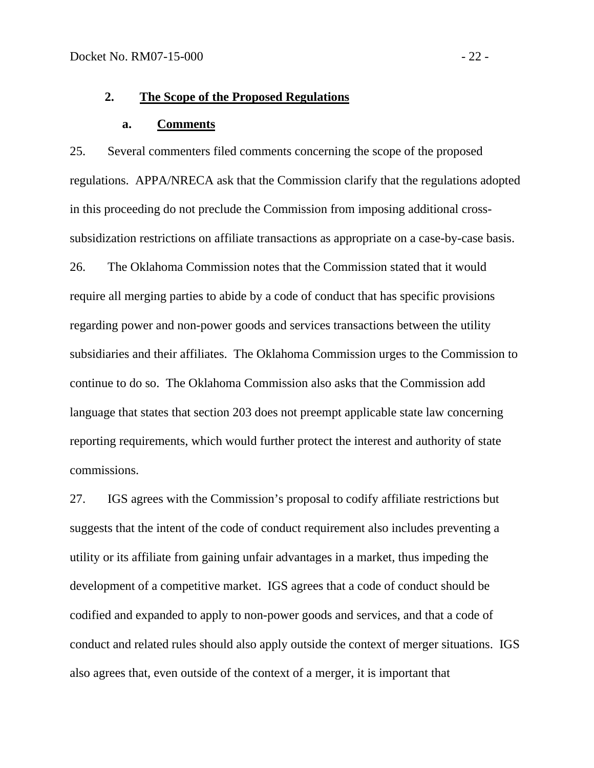#### **2. The Scope of the Proposed Regulations**

#### **a. Comments**

25. Several commenters filed comments concerning the scope of the proposed regulations. APPA/NRECA ask that the Commission clarify that the regulations adopted in this proceeding do not preclude the Commission from imposing additional crosssubsidization restrictions on affiliate transactions as appropriate on a case-by-case basis. 26. The Oklahoma Commission notes that the Commission stated that it would require all merging parties to abide by a code of conduct that has specific provisions regarding power and non-power goods and services transactions between the utility subsidiaries and their affiliates. The Oklahoma Commission urges to the Commission to continue to do so. The Oklahoma Commission also asks that the Commission add language that states that section 203 does not preempt applicable state law concerning reporting requirements, which would further protect the interest and authority of state commissions.

27. IGS agrees with the Commission's proposal to codify affiliate restrictions but suggests that the intent of the code of conduct requirement also includes preventing a utility or its affiliate from gaining unfair advantages in a market, thus impeding the development of a competitive market. IGS agrees that a code of conduct should be codified and expanded to apply to non-power goods and services, and that a code of conduct and related rules should also apply outside the context of merger situations. IGS also agrees that, even outside of the context of a merger, it is important that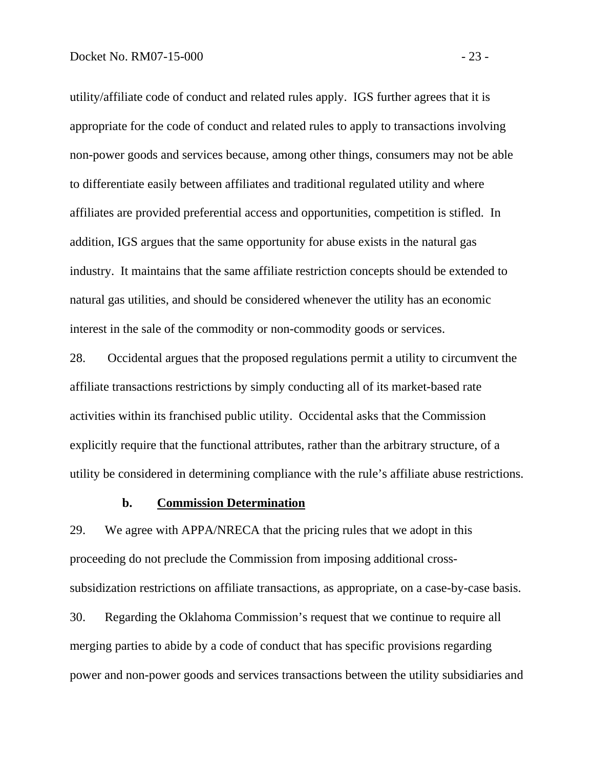utility/affiliate code of conduct and related rules apply. IGS further agrees that it is appropriate for the code of conduct and related rules to apply to transactions involving non-power goods and services because, among other things, consumers may not be able to differentiate easily between affiliates and traditional regulated utility and where affiliates are provided preferential access and opportunities, competition is stifled. In addition, IGS argues that the same opportunity for abuse exists in the natural gas industry. It maintains that the same affiliate restriction concepts should be extended to natural gas utilities, and should be considered whenever the utility has an economic interest in the sale of the commodity or non-commodity goods or services.

28. Occidental argues that the proposed regulations permit a utility to circumvent the affiliate transactions restrictions by simply conducting all of its market-based rate activities within its franchised public utility. Occidental asks that the Commission explicitly require that the functional attributes, rather than the arbitrary structure, of a utility be considered in determining compliance with the rule's affiliate abuse restrictions.

### **b. Commission Determination**

29. We agree with APPA/NRECA that the pricing rules that we adopt in this proceeding do not preclude the Commission from imposing additional crosssubsidization restrictions on affiliate transactions, as appropriate, on a case-by-case basis. 30. Regarding the Oklahoma Commission's request that we continue to require all merging parties to abide by a code of conduct that has specific provisions regarding power and non-power goods and services transactions between the utility subsidiaries and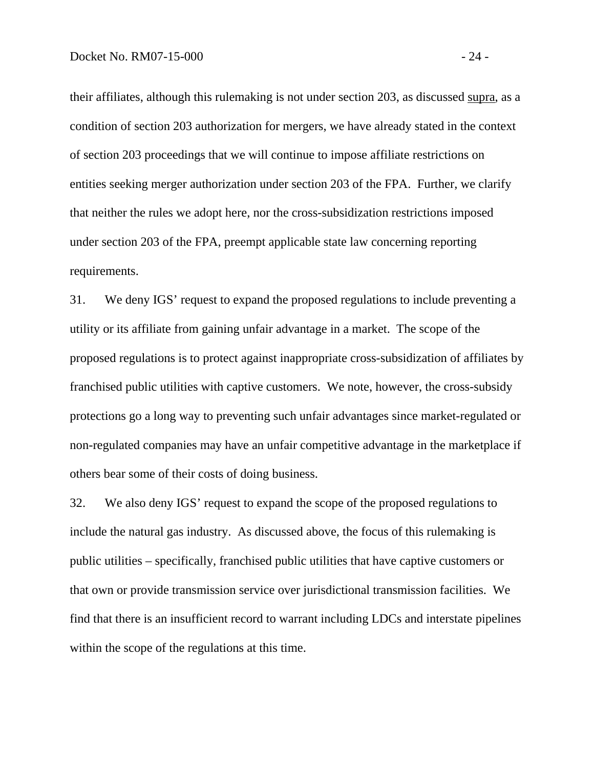their affiliates, although this rulemaking is not under section 203, as discussed supra, as a condition of section 203 authorization for mergers, we have already stated in the context of section 203 proceedings that we will continue to impose affiliate restrictions on entities seeking merger authorization under section 203 of the FPA. Further, we clarify that neither the rules we adopt here, nor the cross-subsidization restrictions imposed under section 203 of the FPA, preempt applicable state law concerning reporting requirements.

31. We deny IGS' request to expand the proposed regulations to include preventing a utility or its affiliate from gaining unfair advantage in a market. The scope of the proposed regulations is to protect against inappropriate cross-subsidization of affiliates by franchised public utilities with captive customers. We note, however, the cross-subsidy protections go a long way to preventing such unfair advantages since market-regulated or non-regulated companies may have an unfair competitive advantage in the marketplace if others bear some of their costs of doing business.

32. We also deny IGS' request to expand the scope of the proposed regulations to include the natural gas industry. As discussed above, the focus of this rulemaking is public utilities – specifically, franchised public utilities that have captive customers or that own or provide transmission service over jurisdictional transmission facilities. We find that there is an insufficient record to warrant including LDCs and interstate pipelines within the scope of the regulations at this time.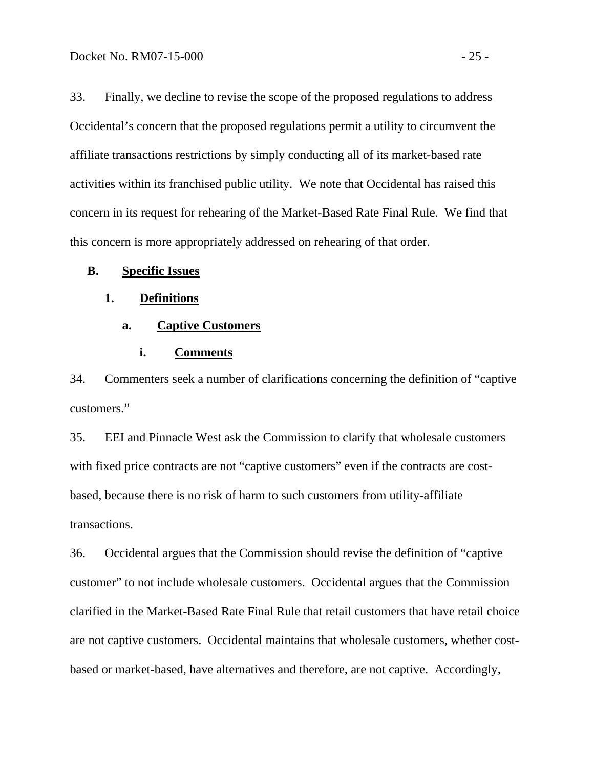33. Finally, we decline to revise the scope of the proposed regulations to address Occidental's concern that the proposed regulations permit a utility to circumvent the affiliate transactions restrictions by simply conducting all of its market-based rate activities within its franchised public utility. We note that Occidental has raised this concern in its request for rehearing of the Market-Based Rate Final Rule. We find that this concern is more appropriately addressed on rehearing of that order.

#### **B. Specific Issues**

#### **1. Definitions**

### **a. Captive Customers**

#### **i. Comments**

34. Commenters seek a number of clarifications concerning the definition of "captive customers."

35. EEI and Pinnacle West ask the Commission to clarify that wholesale customers with fixed price contracts are not "captive customers" even if the contracts are costbased, because there is no risk of harm to such customers from utility-affiliate transactions.

36. Occidental argues that the Commission should revise the definition of "captive customer" to not include wholesale customers. Occidental argues that the Commission clarified in the Market-Based Rate Final Rule that retail customers that have retail choice are not captive customers. Occidental maintains that wholesale customers, whether costbased or market-based, have alternatives and therefore, are not captive. Accordingly,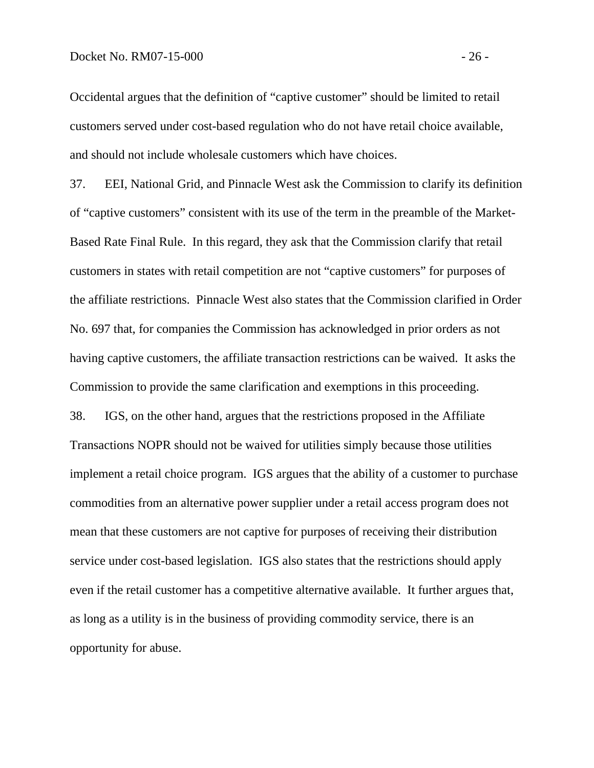Occidental argues that the definition of "captive customer" should be limited to retail customers served under cost-based regulation who do not have retail choice available, and should not include wholesale customers which have choices.

37. EEI, National Grid, and Pinnacle West ask the Commission to clarify its definition of "captive customers" consistent with its use of the term in the preamble of the Market-Based Rate Final Rule. In this regard, they ask that the Commission clarify that retail customers in states with retail competition are not "captive customers" for purposes of the affiliate restrictions. Pinnacle West also states that the Commission clarified in Order No. 697 that, for companies the Commission has acknowledged in prior orders as not having captive customers, the affiliate transaction restrictions can be waived. It asks the Commission to provide the same clarification and exemptions in this proceeding.

38. IGS, on the other hand, argues that the restrictions proposed in the Affiliate Transactions NOPR should not be waived for utilities simply because those utilities implement a retail choice program. IGS argues that the ability of a customer to purchase commodities from an alternative power supplier under a retail access program does not mean that these customers are not captive for purposes of receiving their distribution service under cost-based legislation. IGS also states that the restrictions should apply even if the retail customer has a competitive alternative available. It further argues that, as long as a utility is in the business of providing commodity service, there is an opportunity for abuse.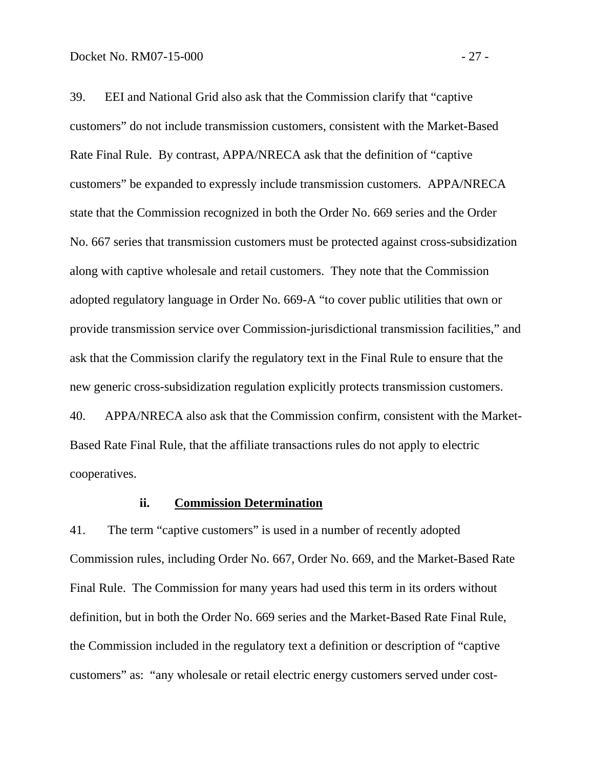39. EEI and National Grid also ask that the Commission clarify that "captive customers" do not include transmission customers, consistent with the Market-Based Rate Final Rule. By contrast, APPA/NRECA ask that the definition of "captive customers" be expanded to expressly include transmission customers. APPA/NRECA state that the Commission recognized in both the Order No. 669 series and the Order No. 667 series that transmission customers must be protected against cross-subsidization along with captive wholesale and retail customers. They note that the Commission adopted regulatory language in Order No. 669-A "to cover public utilities that own or provide transmission service over Commission-jurisdictional transmission facilities," and ask that the Commission clarify the regulatory text in the Final Rule to ensure that the new generic cross-subsidization regulation explicitly protects transmission customers. 40. APPA/NRECA also ask that the Commission confirm, consistent with the Market-Based Rate Final Rule, that the affiliate transactions rules do not apply to electric

cooperatives.

#### **ii. Commission Determination**

41. The term "captive customers" is used in a number of recently adopted Commission rules, including Order No. 667, Order No. 669, and the Market-Based Rate Final Rule. The Commission for many years had used this term in its orders without definition, but in both the Order No. 669 series and the Market-Based Rate Final Rule, the Commission included in the regulatory text a definition or description of "captive customers" as: "any wholesale or retail electric energy customers served under cost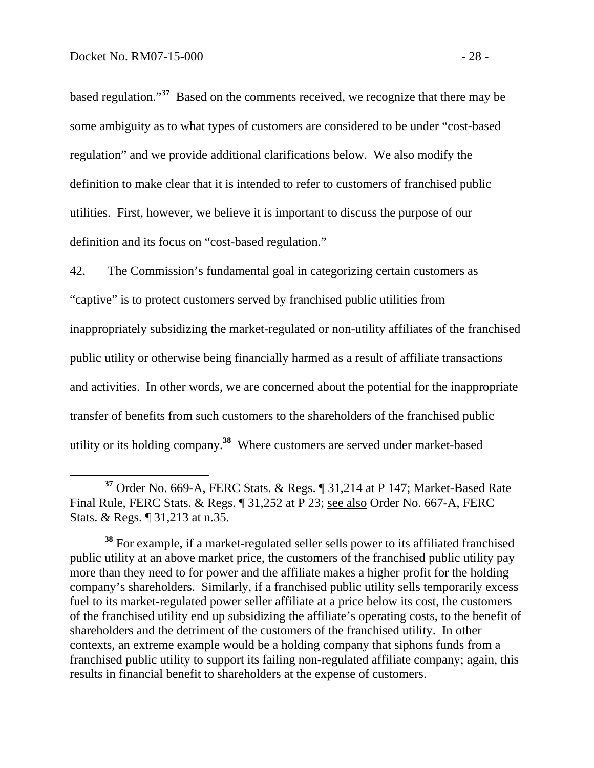based regulation."**<sup>37</sup>** Based on the comments received, we recognize that there may be some ambiguity as to what types of customers are considered to be under "cost-based regulation" and we provide additional clarifications below. We also modify the definition to make clear that it is intended to refer to customers of franchised public utilities. First, however, we believe it is important to discuss the purpose of our definition and its focus on "cost-based regulation."

42. The Commission's fundamental goal in categorizing certain customers as "captive" is to protect customers served by franchised public utilities from inappropriately subsidizing the market-regulated or non-utility affiliates of the franchised public utility or otherwise being financially harmed as a result of affiliate transactions and activities. In other words, we are concerned about the potential for the inappropriate transfer of benefits from such customers to the shareholders of the franchised public utility or its holding company.**<sup>38</sup>** Where customers are served under market-based

**<sup>37</sup>** Order No. 669-A, FERC Stats. & Regs. ¶ 31,214 at P 147; Market-Based Rate Final Rule, FERC Stats. & Regs. ¶ 31,252 at P 23; see also Order No. 667-A, FERC Stats. & Regs. ¶ 31,213 at n.35.

**<sup>38</sup>** For example, if a market-regulated seller sells power to its affiliated franchised public utility at an above market price, the customers of the franchised public utility pay more than they need to for power and the affiliate makes a higher profit for the holding company's shareholders. Similarly, if a franchised public utility sells temporarily excess fuel to its market-regulated power seller affiliate at a price below its cost, the customers of the franchised utility end up subsidizing the affiliate's operating costs, to the benefit of shareholders and the detriment of the customers of the franchised utility. In other contexts, an extreme example would be a holding company that siphons funds from a franchised public utility to support its failing non-regulated affiliate company; again, this results in financial benefit to shareholders at the expense of customers.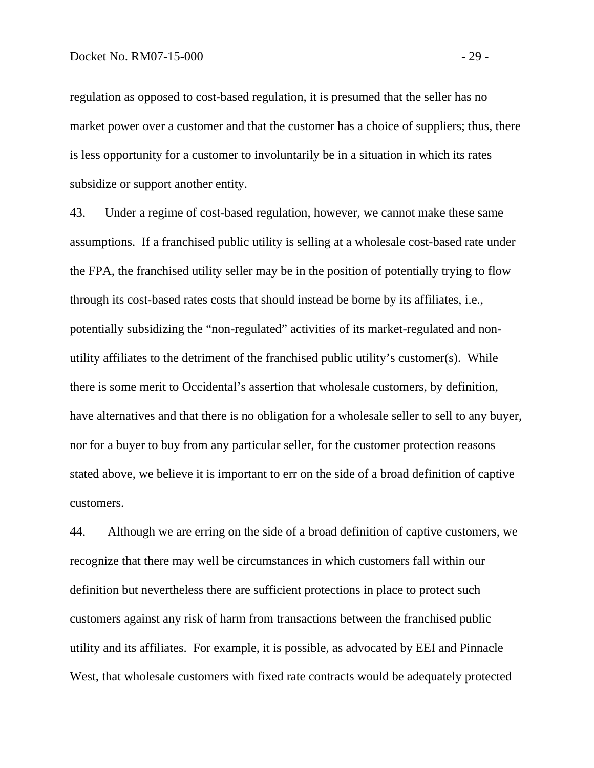regulation as opposed to cost-based regulation, it is presumed that the seller has no market power over a customer and that the customer has a choice of suppliers; thus, there is less opportunity for a customer to involuntarily be in a situation in which its rates subsidize or support another entity.

43. Under a regime of cost-based regulation, however, we cannot make these same assumptions. If a franchised public utility is selling at a wholesale cost-based rate under the FPA, the franchised utility seller may be in the position of potentially trying to flow through its cost-based rates costs that should instead be borne by its affiliates, i.e., potentially subsidizing the "non-regulated" activities of its market-regulated and nonutility affiliates to the detriment of the franchised public utility's customer(s). While there is some merit to Occidental's assertion that wholesale customers, by definition, have alternatives and that there is no obligation for a wholesale seller to sell to any buyer, nor for a buyer to buy from any particular seller, for the customer protection reasons stated above, we believe it is important to err on the side of a broad definition of captive customers.

44. Although we are erring on the side of a broad definition of captive customers, we recognize that there may well be circumstances in which customers fall within our definition but nevertheless there are sufficient protections in place to protect such customers against any risk of harm from transactions between the franchised public utility and its affiliates. For example, it is possible, as advocated by EEI and Pinnacle West, that wholesale customers with fixed rate contracts would be adequately protected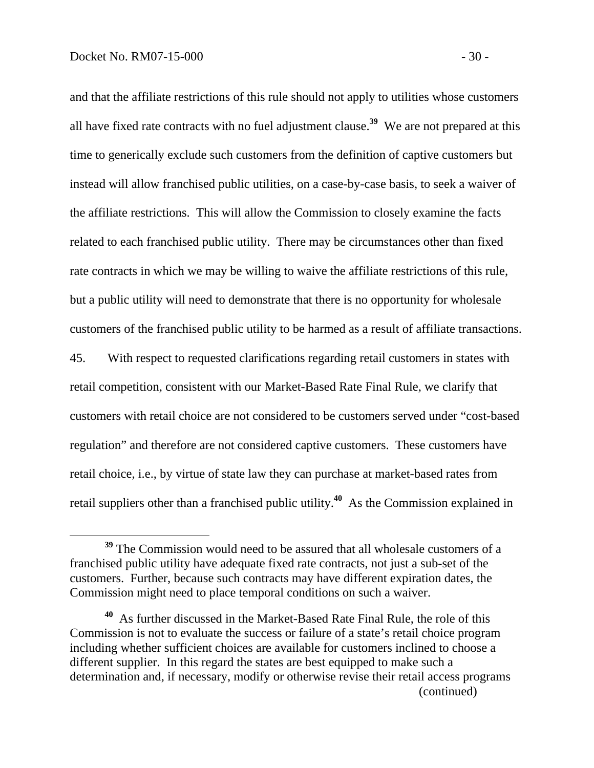and that the affiliate restrictions of this rule should not apply to utilities whose customers all have fixed rate contracts with no fuel adjustment clause.**<sup>39</sup>** We are not prepared at this time to generically exclude such customers from the definition of captive customers but instead will allow franchised public utilities, on a case-by-case basis, to seek a waiver of the affiliate restrictions. This will allow the Commission to closely examine the facts related to each franchised public utility. There may be circumstances other than fixed rate contracts in which we may be willing to waive the affiliate restrictions of this rule, but a public utility will need to demonstrate that there is no opportunity for wholesale customers of the franchised public utility to be harmed as a result of affiliate transactions.

45. With respect to requested clarifications regarding retail customers in states with retail competition, consistent with our Market-Based Rate Final Rule, we clarify that customers with retail choice are not considered to be customers served under "cost-based regulation" and therefore are not considered captive customers. These customers have retail choice, i.e., by virtue of state law they can purchase at market-based rates from retail suppliers other than a franchised public utility.**<sup>40</sup>** As the Commission explained in

**<sup>39</sup>** The Commission would need to be assured that all wholesale customers of a franchised public utility have adequate fixed rate contracts, not just a sub-set of the customers. Further, because such contracts may have different expiration dates, the Commission might need to place temporal conditions on such a waiver.

**<sup>40</sup>** As further discussed in the Market-Based Rate Final Rule, the role of this Commission is not to evaluate the success or failure of a state's retail choice program including whether sufficient choices are available for customers inclined to choose a different supplier. In this regard the states are best equipped to make such a determination and, if necessary, modify or otherwise revise their retail access programs (continued)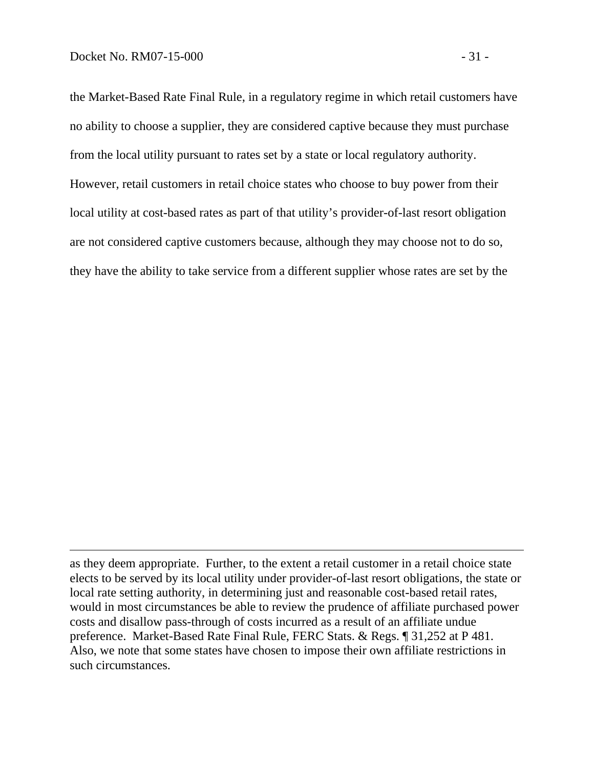$\overline{a}$ 

the Market-Based Rate Final Rule, in a regulatory regime in which retail customers have no ability to choose a supplier, they are considered captive because they must purchase from the local utility pursuant to rates set by a state or local regulatory authority. However, retail customers in retail choice states who choose to buy power from their local utility at cost-based rates as part of that utility's provider-of-last resort obligation are not considered captive customers because, although they may choose not to do so, they have the ability to take service from a different supplier whose rates are set by the

as they deem appropriate. Further, to the extent a retail customer in a retail choice state elects to be served by its local utility under provider-of-last resort obligations, the state or local rate setting authority, in determining just and reasonable cost-based retail rates, would in most circumstances be able to review the prudence of affiliate purchased power costs and disallow pass-through of costs incurred as a result of an affiliate undue preference. Market-Based Rate Final Rule, FERC Stats. & Regs. ¶ 31,252 at P 481. Also, we note that some states have chosen to impose their own affiliate restrictions in such circumstances.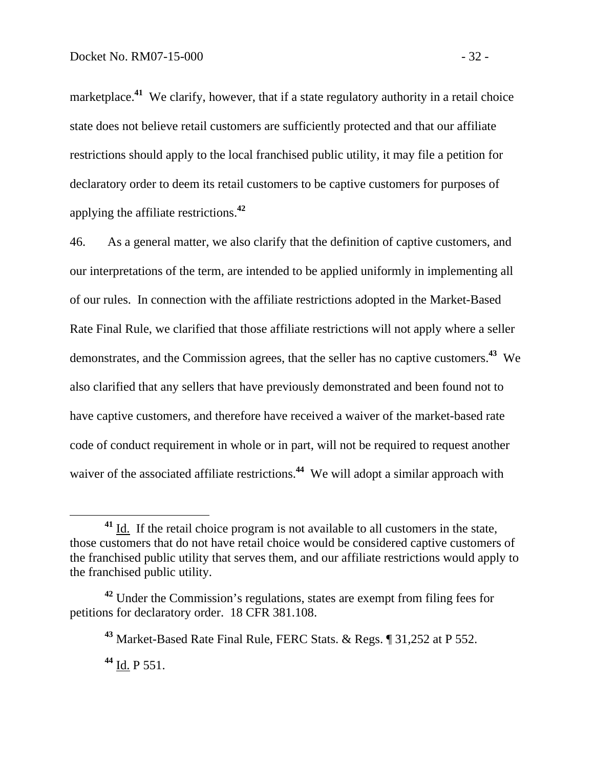marketplace.<sup>41</sup> We clarify, however, that if a state regulatory authority in a retail choice state does not believe retail customers are sufficiently protected and that our affiliate restrictions should apply to the local franchised public utility, it may file a petition for declaratory order to deem its retail customers to be captive customers for purposes of applying the affiliate restrictions.**<sup>42</sup>**

46. As a general matter, we also clarify that the definition of captive customers, and our interpretations of the term, are intended to be applied uniformly in implementing all of our rules. In connection with the affiliate restrictions adopted in the Market-Based Rate Final Rule, we clarified that those affiliate restrictions will not apply where a seller demonstrates, and the Commission agrees, that the seller has no captive customers.**<sup>43</sup>** We also clarified that any sellers that have previously demonstrated and been found not to have captive customers, and therefore have received a waiver of the market-based rate code of conduct requirement in whole or in part, will not be required to request another waiver of the associated affiliate restrictions.<sup>44</sup> We will adopt a similar approach with

**<sup>44</sup>** Id. P 551.

<sup>&</sup>lt;sup>41</sup> Id. If the retail choice program is not available to all customers in the state, those customers that do not have retail choice would be considered captive customers of the franchised public utility that serves them, and our affiliate restrictions would apply to the franchised public utility.

**<sup>42</sup>** Under the Commission's regulations, states are exempt from filing fees for petitions for declaratory order. 18 CFR 381.108.

**<sup>43</sup>** Market-Based Rate Final Rule, FERC Stats. & Regs. ¶ 31,252 at P 552.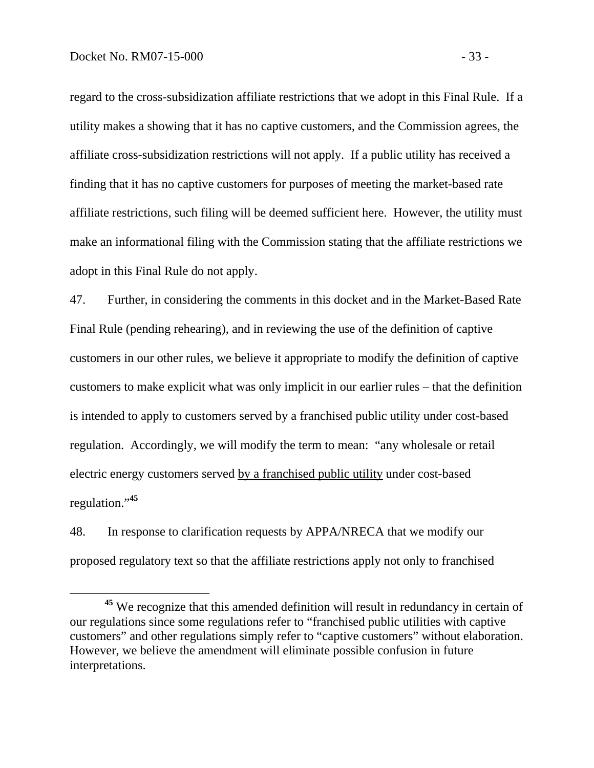regard to the cross-subsidization affiliate restrictions that we adopt in this Final Rule. If a utility makes a showing that it has no captive customers, and the Commission agrees, the affiliate cross-subsidization restrictions will not apply. If a public utility has received a finding that it has no captive customers for purposes of meeting the market-based rate affiliate restrictions, such filing will be deemed sufficient here. However, the utility must make an informational filing with the Commission stating that the affiliate restrictions we adopt in this Final Rule do not apply.

47. Further, in considering the comments in this docket and in the Market-Based Rate Final Rule (pending rehearing), and in reviewing the use of the definition of captive customers in our other rules, we believe it appropriate to modify the definition of captive customers to make explicit what was only implicit in our earlier rules – that the definition is intended to apply to customers served by a franchised public utility under cost-based regulation. Accordingly, we will modify the term to mean: "any wholesale or retail electric energy customers served by a franchised public utility under cost-based regulation."**<sup>45</sup>**

48. In response to clarification requests by APPA/NRECA that we modify our proposed regulatory text so that the affiliate restrictions apply not only to franchised

**<sup>45</sup>** We recognize that this amended definition will result in redundancy in certain of our regulations since some regulations refer to "franchised public utilities with captive customers" and other regulations simply refer to "captive customers" without elaboration. However, we believe the amendment will eliminate possible confusion in future interpretations.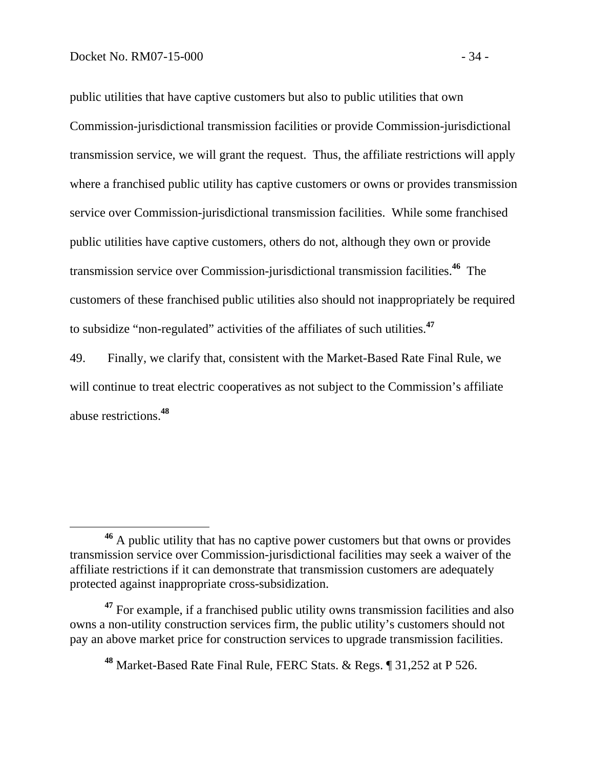public utilities that have captive customers but also to public utilities that own Commission-jurisdictional transmission facilities or provide Commission-jurisdictional transmission service, we will grant the request. Thus, the affiliate restrictions will apply where a franchised public utility has captive customers or owns or provides transmission service over Commission-jurisdictional transmission facilities. While some franchised public utilities have captive customers, others do not, although they own or provide transmission service over Commission-jurisdictional transmission facilities.**<sup>46</sup>** The customers of these franchised public utilities also should not inappropriately be required to subsidize "non-regulated" activities of the affiliates of such utilities.**<sup>47</sup>**

49. Finally, we clarify that, consistent with the Market-Based Rate Final Rule, we will continue to treat electric cooperatives as not subject to the Commission's affiliate abuse restrictions.**<sup>48</sup>**

**<sup>46</sup>** A public utility that has no captive power customers but that owns or provides transmission service over Commission-jurisdictional facilities may seek a waiver of the affiliate restrictions if it can demonstrate that transmission customers are adequately protected against inappropriate cross-subsidization.

<sup>&</sup>lt;sup>47</sup> For example, if a franchised public utility owns transmission facilities and also owns a non-utility construction services firm, the public utility's customers should not pay an above market price for construction services to upgrade transmission facilities.

**<sup>48</sup>** Market-Based Rate Final Rule, FERC Stats. & Regs. ¶ 31,252 at P 526.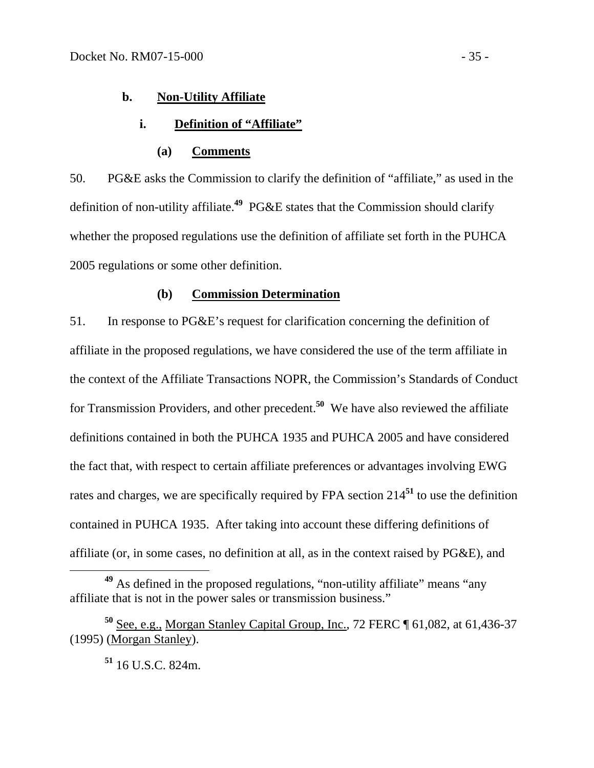### **b. Non-Utility Affiliate**

### **i. Definition of "Affiliate"**

#### **(a) Comments**

50. PG&E asks the Commission to clarify the definition of "affiliate," as used in the definition of non-utility affiliate.**<sup>49</sup>** PG&E states that the Commission should clarify whether the proposed regulations use the definition of affiliate set forth in the PUHCA 2005 regulations or some other definition.

## **(b) Commission Determination**

51. In response to PG&E's request for clarification concerning the definition of affiliate in the proposed regulations, we have considered the use of the term affiliate in the context of the Affiliate Transactions NOPR, the Commission's Standards of Conduct for Transmission Providers, and other precedent.**<sup>50</sup>** We have also reviewed the affiliate definitions contained in both the PUHCA 1935 and PUHCA 2005 and have considered the fact that, with respect to certain affiliate preferences or advantages involving EWG rates and charges, we are specifically required by FPA section 214**<sup>51</sup>** to use the definition contained in PUHCA 1935. After taking into account these differing definitions of affiliate (or, in some cases, no definition at all, as in the context raised by PG&E), and

**<sup>51</sup>** 16 U.S.C. 824m.

**<sup>49</sup>** As defined in the proposed regulations, "non-utility affiliate" means "any affiliate that is not in the power sales or transmission business."

**<sup>50</sup>** See, e.g., Morgan Stanley Capital Group, Inc., 72 FERC ¶ 61,082, at 61,436-37 (1995) (Morgan Stanley).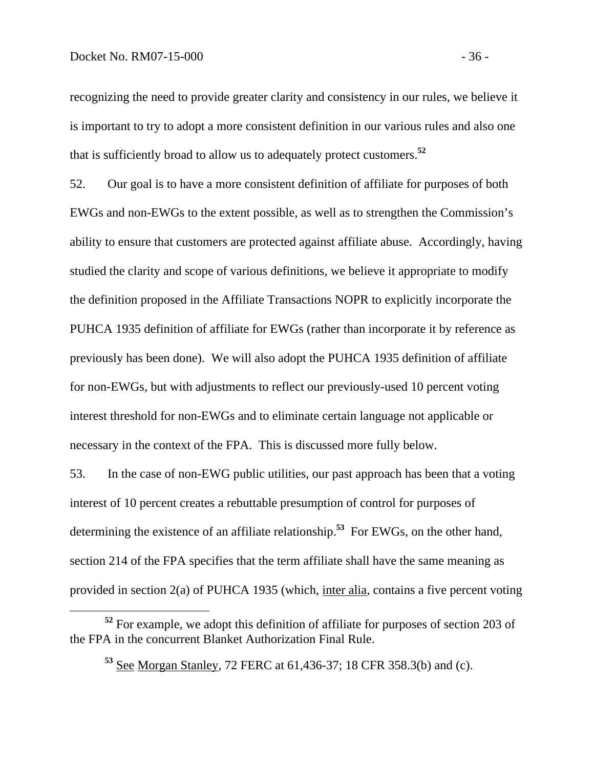recognizing the need to provide greater clarity and consistency in our rules, we believe it is important to try to adopt a more consistent definition in our various rules and also one that is sufficiently broad to allow us to adequately protect customers.**<sup>52</sup>**

52. Our goal is to have a more consistent definition of affiliate for purposes of both EWGs and non-EWGs to the extent possible, as well as to strengthen the Commission's ability to ensure that customers are protected against affiliate abuse. Accordingly, having studied the clarity and scope of various definitions, we believe it appropriate to modify the definition proposed in the Affiliate Transactions NOPR to explicitly incorporate the PUHCA 1935 definition of affiliate for EWGs (rather than incorporate it by reference as previously has been done). We will also adopt the PUHCA 1935 definition of affiliate for non-EWGs, but with adjustments to reflect our previously-used 10 percent voting interest threshold for non-EWGs and to eliminate certain language not applicable or necessary in the context of the FPA. This is discussed more fully below.

53. In the case of non-EWG public utilities, our past approach has been that a voting interest of 10 percent creates a rebuttable presumption of control for purposes of determining the existence of an affiliate relationship.**<sup>53</sup>** For EWGs, on the other hand, section 214 of the FPA specifies that the term affiliate shall have the same meaning as provided in section 2(a) of PUHCA 1935 (which, inter alia, contains a five percent voting

**<sup>52</sup>** For example, we adopt this definition of affiliate for purposes of section 203 of the FPA in the concurrent Blanket Authorization Final Rule.

**<sup>53</sup>** See Morgan Stanley, 72 FERC at 61,436-37; 18 CFR 358.3(b) and (c).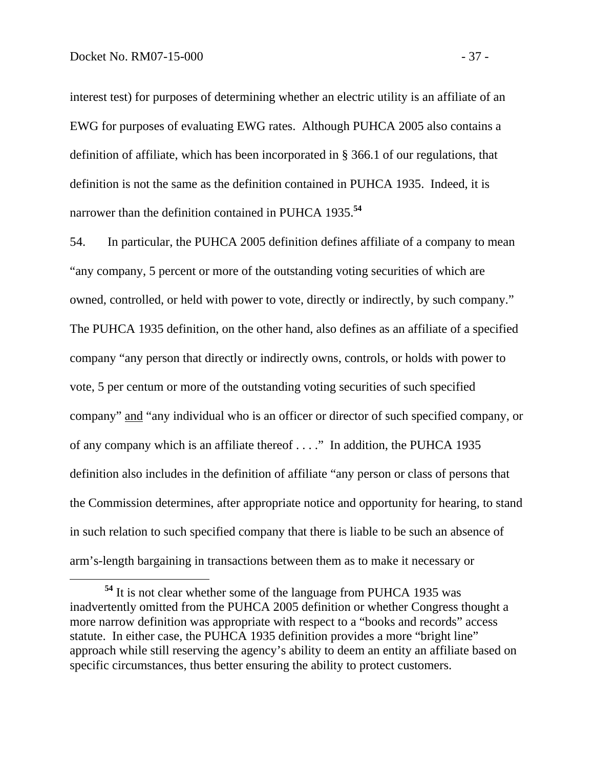interest test) for purposes of determining whether an electric utility is an affiliate of an EWG for purposes of evaluating EWG rates. Although PUHCA 2005 also contains a definition of affiliate, which has been incorporated in § 366.1 of our regulations, that definition is not the same as the definition contained in PUHCA 1935. Indeed, it is narrower than the definition contained in PUHCA 1935.**<sup>54</sup>**

54. In particular, the PUHCA 2005 definition defines affiliate of a company to mean "any company, 5 percent or more of the outstanding voting securities of which are owned, controlled, or held with power to vote, directly or indirectly, by such company." The PUHCA 1935 definition, on the other hand, also defines as an affiliate of a specified company "any person that directly or indirectly owns, controls, or holds with power to vote, 5 per centum or more of the outstanding voting securities of such specified company" and "any individual who is an officer or director of such specified company, or of any company which is an affiliate thereof . . . ." In addition, the PUHCA 1935 definition also includes in the definition of affiliate "any person or class of persons that the Commission determines, after appropriate notice and opportunity for hearing, to stand in such relation to such specified company that there is liable to be such an absence of arm's-length bargaining in transactions between them as to make it necessary or

**<sup>54</sup>** It is not clear whether some of the language from PUHCA 1935 was inadvertently omitted from the PUHCA 2005 definition or whether Congress thought a more narrow definition was appropriate with respect to a "books and records" access statute. In either case, the PUHCA 1935 definition provides a more "bright line" approach while still reserving the agency's ability to deem an entity an affiliate based on specific circumstances, thus better ensuring the ability to protect customers.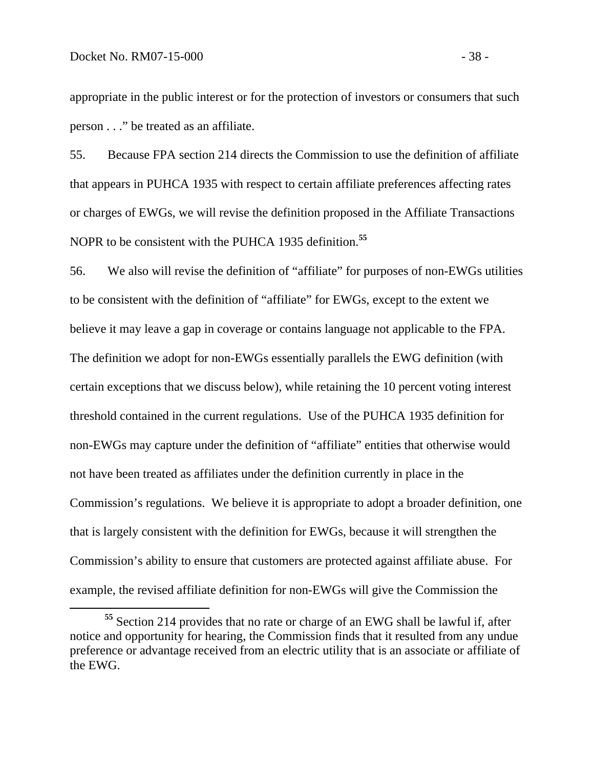appropriate in the public interest or for the protection of investors or consumers that such person . . ." be treated as an affiliate.

55. Because FPA section 214 directs the Commission to use the definition of affiliate that appears in PUHCA 1935 with respect to certain affiliate preferences affecting rates or charges of EWGs, we will revise the definition proposed in the Affiliate Transactions NOPR to be consistent with the PUHCA 1935 definition.**<sup>55</sup>**

56. We also will revise the definition of "affiliate" for purposes of non-EWGs utilities to be consistent with the definition of "affiliate" for EWGs, except to the extent we believe it may leave a gap in coverage or contains language not applicable to the FPA. The definition we adopt for non-EWGs essentially parallels the EWG definition (with certain exceptions that we discuss below), while retaining the 10 percent voting interest threshold contained in the current regulations. Use of the PUHCA 1935 definition for non-EWGs may capture under the definition of "affiliate" entities that otherwise would not have been treated as affiliates under the definition currently in place in the Commission's regulations. We believe it is appropriate to adopt a broader definition, one that is largely consistent with the definition for EWGs, because it will strengthen the Commission's ability to ensure that customers are protected against affiliate abuse. For example, the revised affiliate definition for non-EWGs will give the Commission the

**<sup>55</sup>** Section 214 provides that no rate or charge of an EWG shall be lawful if, after notice and opportunity for hearing, the Commission finds that it resulted from any undue preference or advantage received from an electric utility that is an associate or affiliate of the EWG.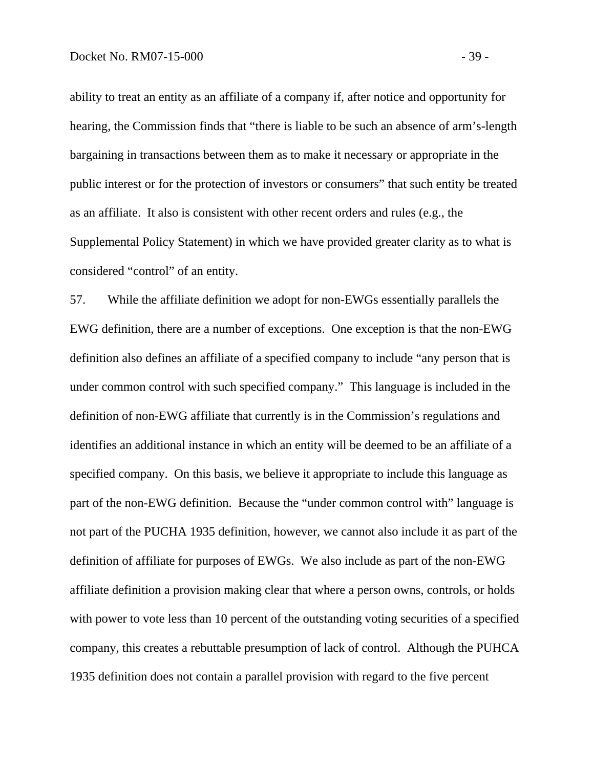ability to treat an entity as an affiliate of a company if, after notice and opportunity for hearing, the Commission finds that "there is liable to be such an absence of arm's-length bargaining in transactions between them as to make it necessary or appropriate in the public interest or for the protection of investors or consumers" that such entity be treated as an affiliate. It also is consistent with other recent orders and rules (e.g., the Supplemental Policy Statement) in which we have provided greater clarity as to what is considered "control" of an entity.

57. While the affiliate definition we adopt for non-EWGs essentially parallels the EWG definition, there are a number of exceptions. One exception is that the non-EWG definition also defines an affiliate of a specified company to include "any person that is under common control with such specified company." This language is included in the definition of non-EWG affiliate that currently is in the Commission's regulations and identifies an additional instance in which an entity will be deemed to be an affiliate of a specified company. On this basis, we believe it appropriate to include this language as part of the non-EWG definition. Because the "under common control with" language is not part of the PUCHA 1935 definition, however, we cannot also include it as part of the definition of affiliate for purposes of EWGs. We also include as part of the non-EWG affiliate definition a provision making clear that where a person owns, controls, or holds with power to vote less than 10 percent of the outstanding voting securities of a specified company, this creates a rebuttable presumption of lack of control. Although the PUHCA 1935 definition does not contain a parallel provision with regard to the five percent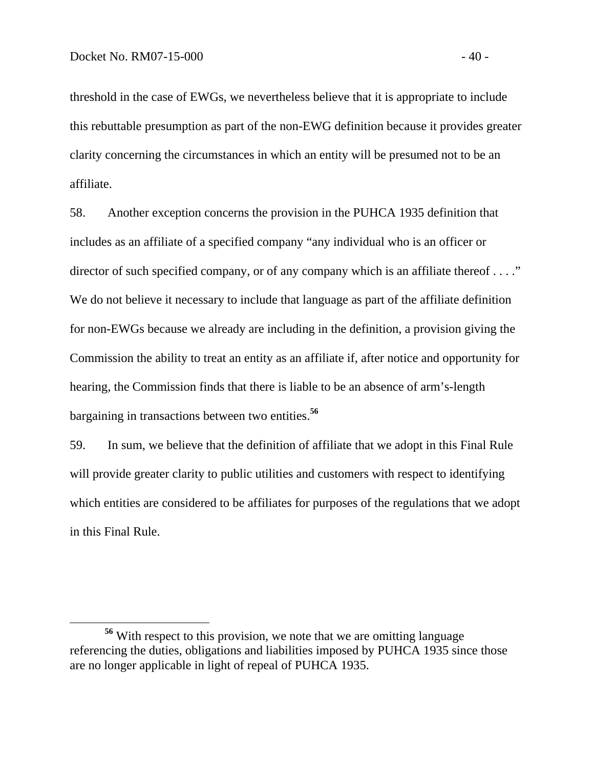threshold in the case of EWGs, we nevertheless believe that it is appropriate to include this rebuttable presumption as part of the non-EWG definition because it provides greater clarity concerning the circumstances in which an entity will be presumed not to be an affiliate.

58. Another exception concerns the provision in the PUHCA 1935 definition that includes as an affiliate of a specified company "any individual who is an officer or director of such specified company, or of any company which is an affiliate thereof . . . ." We do not believe it necessary to include that language as part of the affiliate definition for non-EWGs because we already are including in the definition, a provision giving the Commission the ability to treat an entity as an affiliate if, after notice and opportunity for hearing, the Commission finds that there is liable to be an absence of arm's-length bargaining in transactions between two entities.**<sup>56</sup>**

59. In sum, we believe that the definition of affiliate that we adopt in this Final Rule will provide greater clarity to public utilities and customers with respect to identifying which entities are considered to be affiliates for purposes of the regulations that we adopt in this Final Rule.

**<sup>56</sup>** With respect to this provision, we note that we are omitting language referencing the duties, obligations and liabilities imposed by PUHCA 1935 since those are no longer applicable in light of repeal of PUHCA 1935.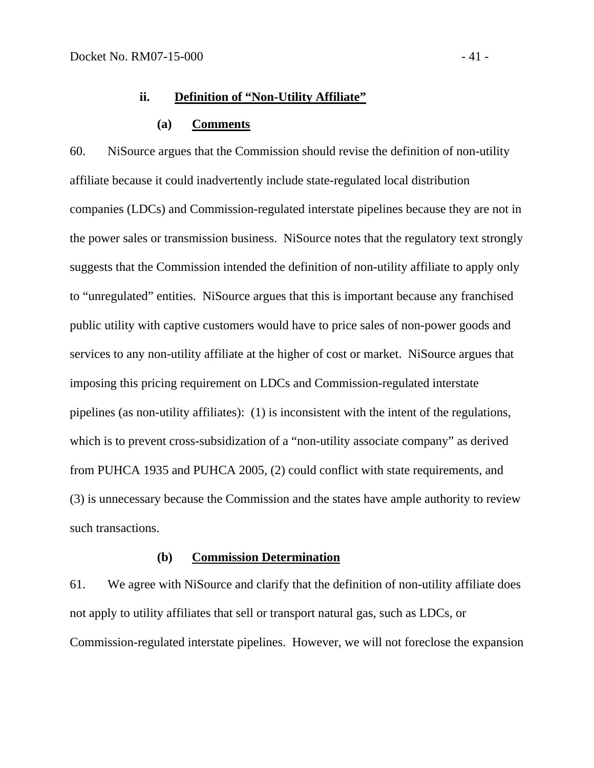# **ii. Definition of "Non-Utility Affiliate"**

## **(a) Comments**

60. NiSource argues that the Commission should revise the definition of non-utility affiliate because it could inadvertently include state-regulated local distribution companies (LDCs) and Commission-regulated interstate pipelines because they are not in the power sales or transmission business. NiSource notes that the regulatory text strongly suggests that the Commission intended the definition of non-utility affiliate to apply only to "unregulated" entities. NiSource argues that this is important because any franchised public utility with captive customers would have to price sales of non-power goods and services to any non-utility affiliate at the higher of cost or market. NiSource argues that imposing this pricing requirement on LDCs and Commission-regulated interstate pipelines (as non-utility affiliates): (1) is inconsistent with the intent of the regulations, which is to prevent cross-subsidization of a "non-utility associate company" as derived from PUHCA 1935 and PUHCA 2005, (2) could conflict with state requirements, and (3) is unnecessary because the Commission and the states have ample authority to review such transactions.

## **(b) Commission Determination**

61. We agree with NiSource and clarify that the definition of non-utility affiliate does not apply to utility affiliates that sell or transport natural gas, such as LDCs, or Commission-regulated interstate pipelines. However, we will not foreclose the expansion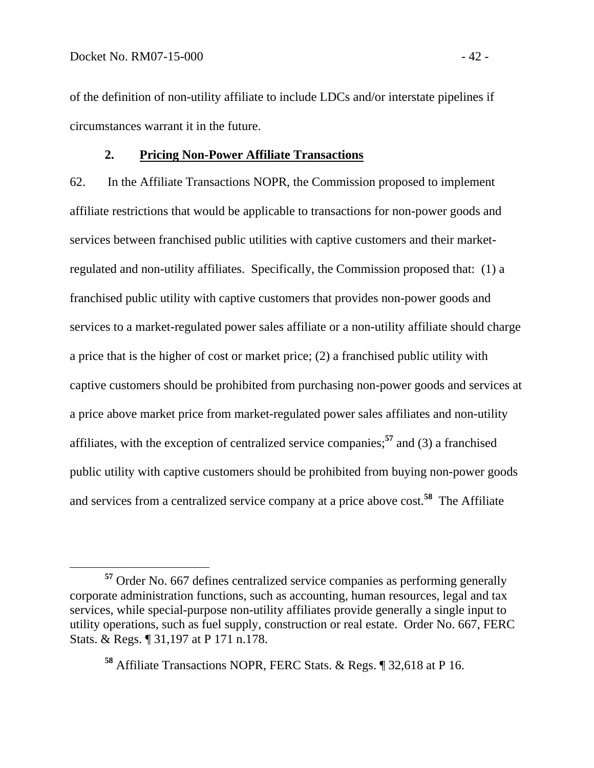of the definition of non-utility affiliate to include LDCs and/or interstate pipelines if circumstances warrant it in the future.

## **2. Pricing Non-Power Affiliate Transactions**

62. In the Affiliate Transactions NOPR, the Commission proposed to implement affiliate restrictions that would be applicable to transactions for non-power goods and services between franchised public utilities with captive customers and their marketregulated and non-utility affiliates. Specifically, the Commission proposed that: (1) a franchised public utility with captive customers that provides non-power goods and services to a market-regulated power sales affiliate or a non-utility affiliate should charge a price that is the higher of cost or market price; (2) a franchised public utility with captive customers should be prohibited from purchasing non-power goods and services at a price above market price from market-regulated power sales affiliates and non-utility affiliates, with the exception of centralized service companies;**<sup>57</sup>** and (3) a franchised public utility with captive customers should be prohibited from buying non-power goods and services from a centralized service company at a price above cost.**<sup>58</sup>** The Affiliate

**<sup>57</sup>** Order No. 667 defines centralized service companies as performing generally corporate administration functions, such as accounting, human resources, legal and tax services, while special-purpose non-utility affiliates provide generally a single input to utility operations, such as fuel supply, construction or real estate. Order No. 667, FERC Stats. & Regs. ¶ 31,197 at P 171 n.178.

**<sup>58</sup>** Affiliate Transactions NOPR, FERC Stats. & Regs. ¶ 32,618 at P 16.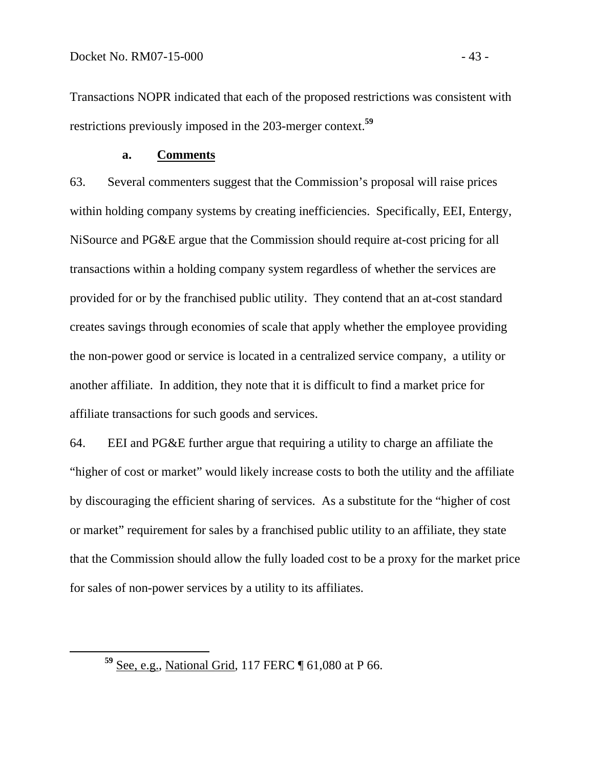Transactions NOPR indicated that each of the proposed restrictions was consistent with restrictions previously imposed in the 203-merger context.**<sup>59</sup>**

### **a. Comments**

63. Several commenters suggest that the Commission's proposal will raise prices within holding company systems by creating inefficiencies. Specifically, EEI, Entergy, NiSource and PG&E argue that the Commission should require at-cost pricing for all transactions within a holding company system regardless of whether the services are provided for or by the franchised public utility. They contend that an at-cost standard creates savings through economies of scale that apply whether the employee providing the non-power good or service is located in a centralized service company, a utility or another affiliate. In addition, they note that it is difficult to find a market price for affiliate transactions for such goods and services.

64. EEI and PG&E further argue that requiring a utility to charge an affiliate the "higher of cost or market" would likely increase costs to both the utility and the affiliate by discouraging the efficient sharing of services. As a substitute for the "higher of cost or market" requirement for sales by a franchised public utility to an affiliate, they state that the Commission should allow the fully loaded cost to be a proxy for the market price for sales of non-power services by a utility to its affiliates.

**<sup>59</sup>** See, e.g., National Grid, 117 FERC ¶ 61,080 at P 66.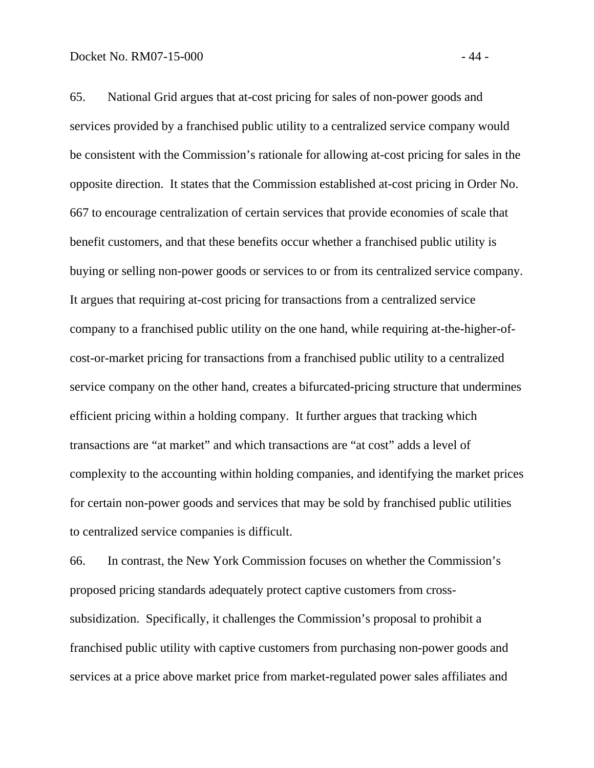65. National Grid argues that at-cost pricing for sales of non-power goods and services provided by a franchised public utility to a centralized service company would be consistent with the Commission's rationale for allowing at-cost pricing for sales in the opposite direction. It states that the Commission established at-cost pricing in Order No. 667 to encourage centralization of certain services that provide economies of scale that benefit customers, and that these benefits occur whether a franchised public utility is buying or selling non-power goods or services to or from its centralized service company. It argues that requiring at-cost pricing for transactions from a centralized service company to a franchised public utility on the one hand, while requiring at-the-higher-ofcost-or-market pricing for transactions from a franchised public utility to a centralized service company on the other hand, creates a bifurcated-pricing structure that undermines efficient pricing within a holding company. It further argues that tracking which transactions are "at market" and which transactions are "at cost" adds a level of complexity to the accounting within holding companies, and identifying the market prices for certain non-power goods and services that may be sold by franchised public utilities to centralized service companies is difficult.

66. In contrast, the New York Commission focuses on whether the Commission's proposed pricing standards adequately protect captive customers from crosssubsidization. Specifically, it challenges the Commission's proposal to prohibit a franchised public utility with captive customers from purchasing non-power goods and services at a price above market price from market-regulated power sales affiliates and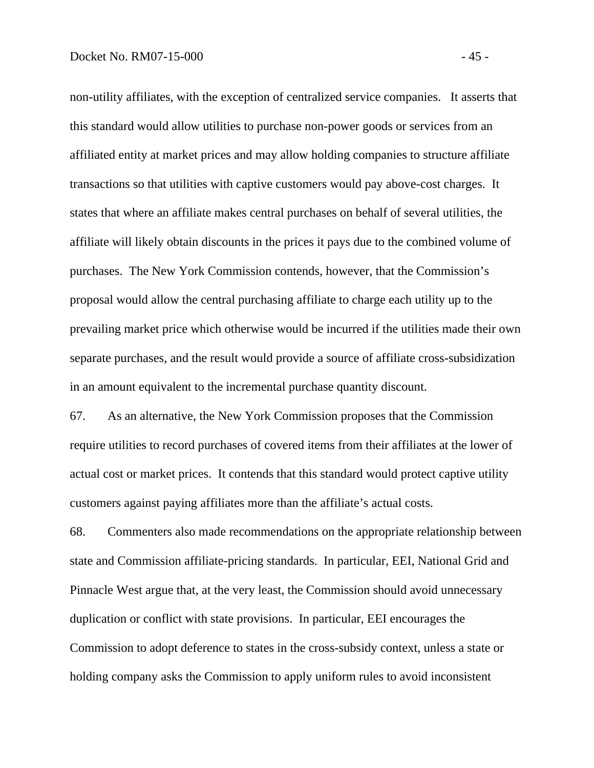non-utility affiliates, with the exception of centralized service companies. It asserts that this standard would allow utilities to purchase non-power goods or services from an affiliated entity at market prices and may allow holding companies to structure affiliate transactions so that utilities with captive customers would pay above-cost charges. It states that where an affiliate makes central purchases on behalf of several utilities, the affiliate will likely obtain discounts in the prices it pays due to the combined volume of purchases. The New York Commission contends, however, that the Commission's proposal would allow the central purchasing affiliate to charge each utility up to the prevailing market price which otherwise would be incurred if the utilities made their own separate purchases, and the result would provide a source of affiliate cross-subsidization in an amount equivalent to the incremental purchase quantity discount.

67. As an alternative, the New York Commission proposes that the Commission require utilities to record purchases of covered items from their affiliates at the lower of actual cost or market prices. It contends that this standard would protect captive utility customers against paying affiliates more than the affiliate's actual costs.

68. Commenters also made recommendations on the appropriate relationship between state and Commission affiliate-pricing standards. In particular, EEI, National Grid and Pinnacle West argue that, at the very least, the Commission should avoid unnecessary duplication or conflict with state provisions. In particular, EEI encourages the Commission to adopt deference to states in the cross-subsidy context, unless a state or holding company asks the Commission to apply uniform rules to avoid inconsistent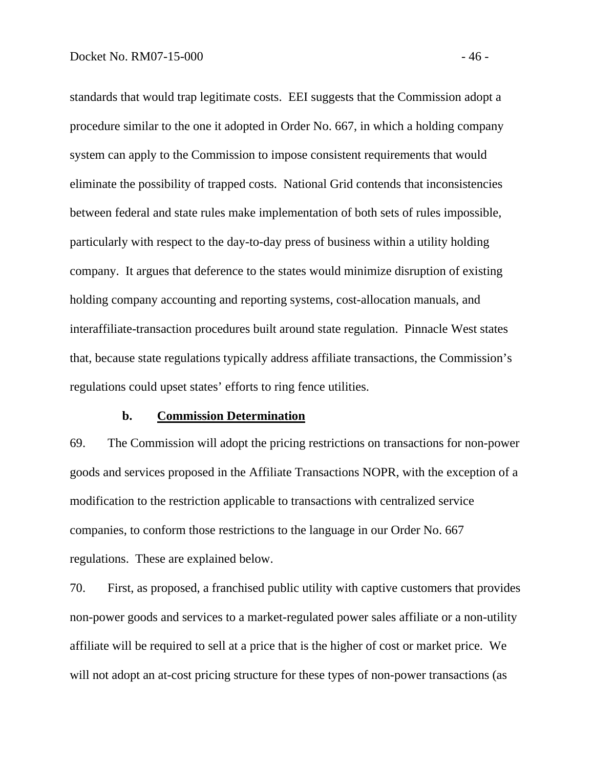standards that would trap legitimate costs. EEI suggests that the Commission adopt a procedure similar to the one it adopted in Order No. 667, in which a holding company system can apply to the Commission to impose consistent requirements that would eliminate the possibility of trapped costs. National Grid contends that inconsistencies between federal and state rules make implementation of both sets of rules impossible, particularly with respect to the day-to-day press of business within a utility holding company. It argues that deference to the states would minimize disruption of existing holding company accounting and reporting systems, cost-allocation manuals, and interaffiliate-transaction procedures built around state regulation. Pinnacle West states that, because state regulations typically address affiliate transactions, the Commission's regulations could upset states' efforts to ring fence utilities.

### **b. Commission Determination**

69. The Commission will adopt the pricing restrictions on transactions for non-power goods and services proposed in the Affiliate Transactions NOPR, with the exception of a modification to the restriction applicable to transactions with centralized service companies, to conform those restrictions to the language in our Order No. 667 regulations. These are explained below.

70. First, as proposed, a franchised public utility with captive customers that provides non-power goods and services to a market-regulated power sales affiliate or a non-utility affiliate will be required to sell at a price that is the higher of cost or market price. We will not adopt an at-cost pricing structure for these types of non-power transactions (as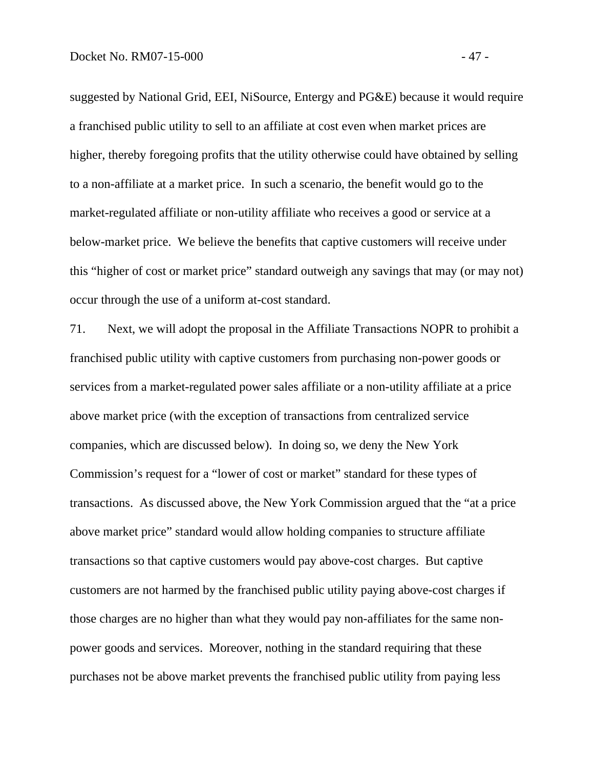suggested by National Grid, EEI, NiSource, Entergy and PG&E) because it would require a franchised public utility to sell to an affiliate at cost even when market prices are higher, thereby foregoing profits that the utility otherwise could have obtained by selling to a non-affiliate at a market price. In such a scenario, the benefit would go to the market-regulated affiliate or non-utility affiliate who receives a good or service at a below-market price. We believe the benefits that captive customers will receive under this "higher of cost or market price" standard outweigh any savings that may (or may not) occur through the use of a uniform at-cost standard.

71. Next, we will adopt the proposal in the Affiliate Transactions NOPR to prohibit a franchised public utility with captive customers from purchasing non-power goods or services from a market-regulated power sales affiliate or a non-utility affiliate at a price above market price (with the exception of transactions from centralized service companies, which are discussed below). In doing so, we deny the New York Commission's request for a "lower of cost or market" standard for these types of transactions. As discussed above, the New York Commission argued that the "at a price above market price" standard would allow holding companies to structure affiliate transactions so that captive customers would pay above-cost charges. But captive customers are not harmed by the franchised public utility paying above-cost charges if those charges are no higher than what they would pay non-affiliates for the same nonpower goods and services. Moreover, nothing in the standard requiring that these purchases not be above market prevents the franchised public utility from paying less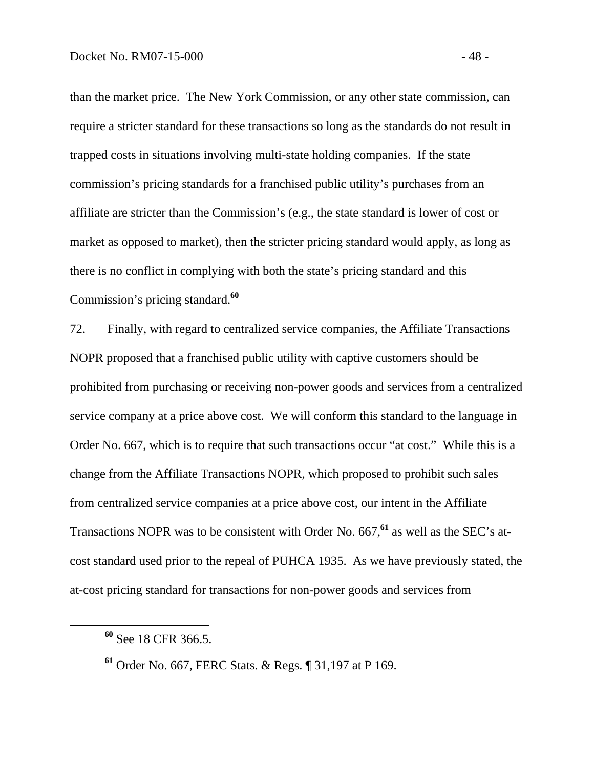than the market price. The New York Commission, or any other state commission, can require a stricter standard for these transactions so long as the standards do not result in trapped costs in situations involving multi-state holding companies. If the state commission's pricing standards for a franchised public utility's purchases from an affiliate are stricter than the Commission's (e.g., the state standard is lower of cost or market as opposed to market), then the stricter pricing standard would apply, as long as there is no conflict in complying with both the state's pricing standard and this Commission's pricing standard.**<sup>60</sup>**

72. Finally, with regard to centralized service companies, the Affiliate Transactions NOPR proposed that a franchised public utility with captive customers should be prohibited from purchasing or receiving non-power goods and services from a centralized service company at a price above cost. We will conform this standard to the language in Order No. 667, which is to require that such transactions occur "at cost." While this is a change from the Affiliate Transactions NOPR, which proposed to prohibit such sales from centralized service companies at a price above cost, our intent in the Affiliate Transactions NOPR was to be consistent with Order No. 667,**<sup>61</sup>** as well as the SEC's atcost standard used prior to the repeal of PUHCA 1935. As we have previously stated, the at-cost pricing standard for transactions for non-power goods and services from

**<sup>60</sup>** See 18 CFR 366.5.

**<sup>61</sup>** Order No. 667, FERC Stats. & Regs. ¶ 31,197 at P 169.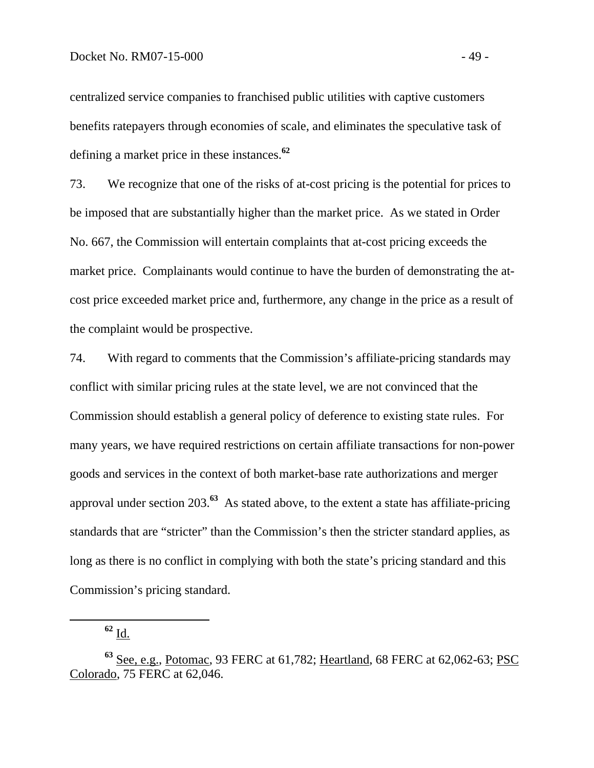centralized service companies to franchised public utilities with captive customers benefits ratepayers through economies of scale, and eliminates the speculative task of defining a market price in these instances.**<sup>62</sup>**

73. We recognize that one of the risks of at-cost pricing is the potential for prices to be imposed that are substantially higher than the market price. As we stated in Order No. 667, the Commission will entertain complaints that at-cost pricing exceeds the market price. Complainants would continue to have the burden of demonstrating the atcost price exceeded market price and, furthermore, any change in the price as a result of the complaint would be prospective.

74. With regard to comments that the Commission's affiliate-pricing standards may conflict with similar pricing rules at the state level, we are not convinced that the Commission should establish a general policy of deference to existing state rules. For many years, we have required restrictions on certain affiliate transactions for non-power goods and services in the context of both market-base rate authorizations and merger approval under section 203.**<sup>63</sup>** As stated above, to the extent a state has affiliate-pricing standards that are "stricter" than the Commission's then the stricter standard applies, as long as there is no conflict in complying with both the state's pricing standard and this Commission's pricing standard.

**<sup>62</sup>** Id.

**<sup>63</sup>** See, e.g., Potomac, 93 FERC at 61,782; Heartland, 68 FERC at 62,062-63; PSC Colorado, 75 FERC at 62,046.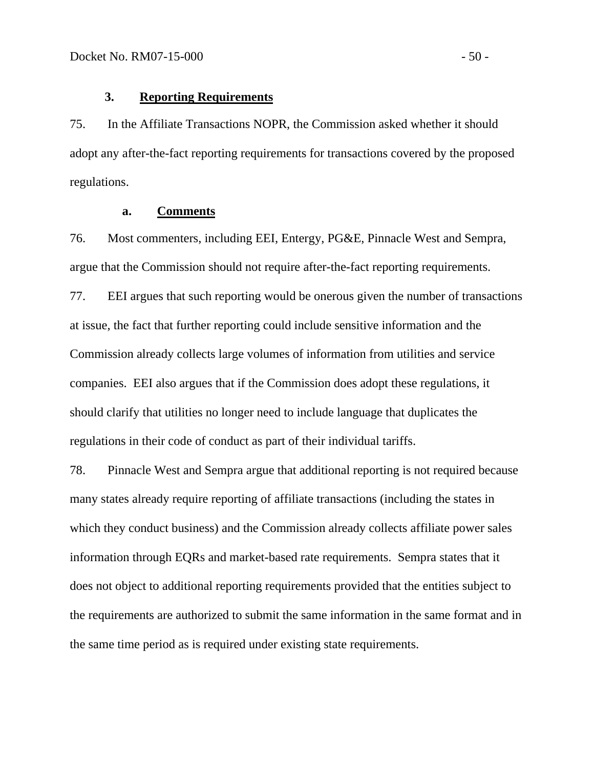### **3. Reporting Requirements**

75. In the Affiliate Transactions NOPR, the Commission asked whether it should adopt any after-the-fact reporting requirements for transactions covered by the proposed regulations.

### **a. Comments**

76. Most commenters, including EEI, Entergy, PG&E, Pinnacle West and Sempra, argue that the Commission should not require after-the-fact reporting requirements.

77. EEI argues that such reporting would be onerous given the number of transactions at issue, the fact that further reporting could include sensitive information and the Commission already collects large volumes of information from utilities and service companies. EEI also argues that if the Commission does adopt these regulations, it should clarify that utilities no longer need to include language that duplicates the regulations in their code of conduct as part of their individual tariffs.

78. Pinnacle West and Sempra argue that additional reporting is not required because many states already require reporting of affiliate transactions (including the states in which they conduct business) and the Commission already collects affiliate power sales information through EQRs and market-based rate requirements. Sempra states that it does not object to additional reporting requirements provided that the entities subject to the requirements are authorized to submit the same information in the same format and in the same time period as is required under existing state requirements.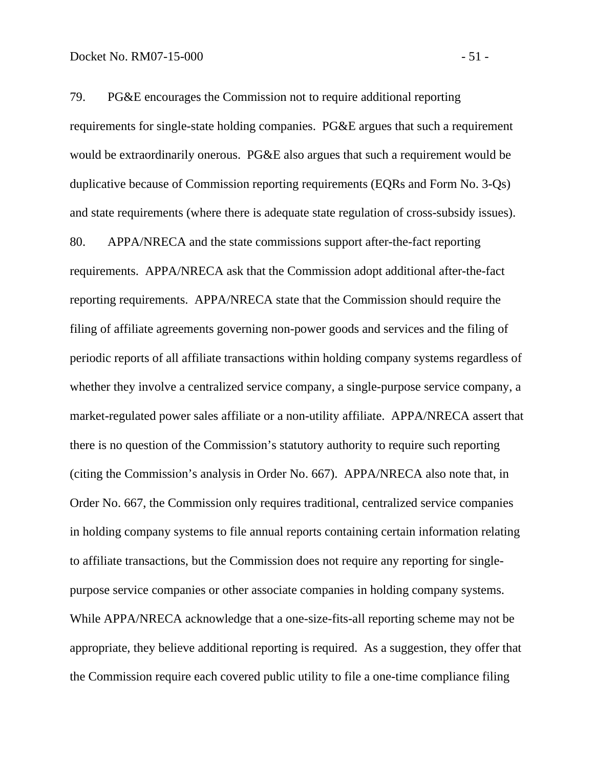79. PG&E encourages the Commission not to require additional reporting requirements for single-state holding companies. PG&E argues that such a requirement would be extraordinarily onerous. PG&E also argues that such a requirement would be duplicative because of Commission reporting requirements (EQRs and Form No. 3-Qs) and state requirements (where there is adequate state regulation of cross-subsidy issues). 80. APPA/NRECA and the state commissions support after-the-fact reporting requirements. APPA/NRECA ask that the Commission adopt additional after-the-fact reporting requirements. APPA/NRECA state that the Commission should require the filing of affiliate agreements governing non-power goods and services and the filing of periodic reports of all affiliate transactions within holding company systems regardless of whether they involve a centralized service company, a single-purpose service company, a market-regulated power sales affiliate or a non-utility affiliate. APPA/NRECA assert that there is no question of the Commission's statutory authority to require such reporting (citing the Commission's analysis in Order No. 667). APPA/NRECA also note that, in Order No. 667, the Commission only requires traditional, centralized service companies in holding company systems to file annual reports containing certain information relating to affiliate transactions, but the Commission does not require any reporting for singlepurpose service companies or other associate companies in holding company systems. While APPA/NRECA acknowledge that a one-size-fits-all reporting scheme may not be appropriate, they believe additional reporting is required. As a suggestion, they offer that the Commission require each covered public utility to file a one-time compliance filing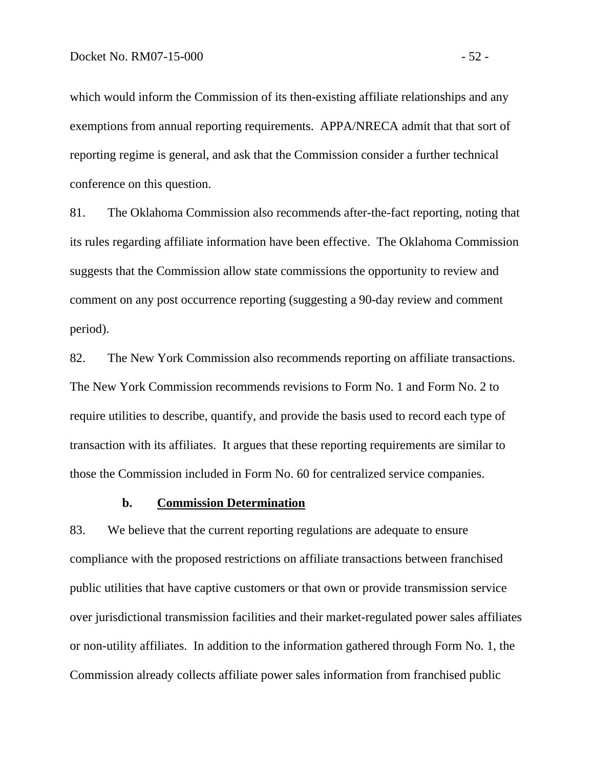which would inform the Commission of its then-existing affiliate relationships and any exemptions from annual reporting requirements. APPA/NRECA admit that that sort of reporting regime is general, and ask that the Commission consider a further technical conference on this question.

81. The Oklahoma Commission also recommends after-the-fact reporting, noting that its rules regarding affiliate information have been effective. The Oklahoma Commission suggests that the Commission allow state commissions the opportunity to review and comment on any post occurrence reporting (suggesting a 90-day review and comment period).

82. The New York Commission also recommends reporting on affiliate transactions. The New York Commission recommends revisions to Form No. 1 and Form No. 2 to require utilities to describe, quantify, and provide the basis used to record each type of transaction with its affiliates. It argues that these reporting requirements are similar to those the Commission included in Form No. 60 for centralized service companies.

## **b. Commission Determination**

83. We believe that the current reporting regulations are adequate to ensure compliance with the proposed restrictions on affiliate transactions between franchised public utilities that have captive customers or that own or provide transmission service over jurisdictional transmission facilities and their market-regulated power sales affiliates or non-utility affiliates. In addition to the information gathered through Form No. 1, the Commission already collects affiliate power sales information from franchised public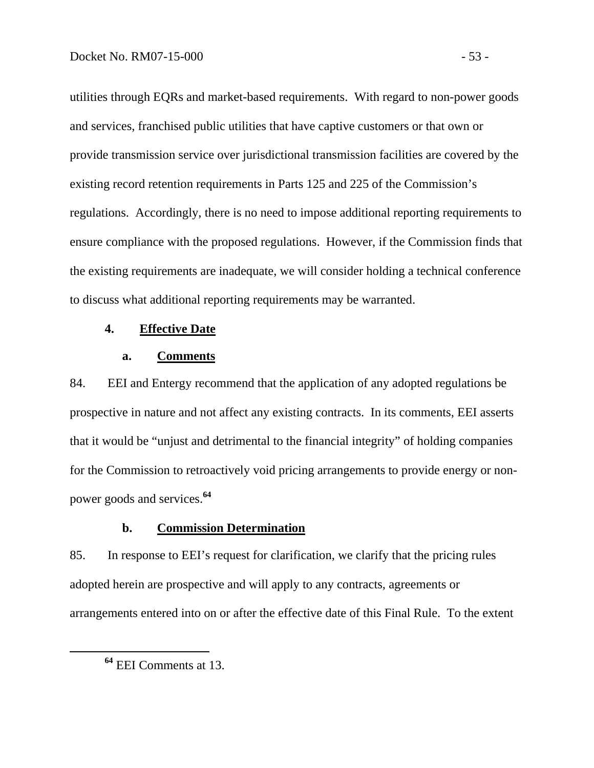utilities through EQRs and market-based requirements. With regard to non-power goods and services, franchised public utilities that have captive customers or that own or provide transmission service over jurisdictional transmission facilities are covered by the existing record retention requirements in Parts 125 and 225 of the Commission's regulations. Accordingly, there is no need to impose additional reporting requirements to ensure compliance with the proposed regulations. However, if the Commission finds that the existing requirements are inadequate, we will consider holding a technical conference to discuss what additional reporting requirements may be warranted.

#### **4. Effective Date**

#### **a. Comments**

84. EEI and Entergy recommend that the application of any adopted regulations be prospective in nature and not affect any existing contracts. In its comments, EEI asserts that it would be "unjust and detrimental to the financial integrity" of holding companies for the Commission to retroactively void pricing arrangements to provide energy or nonpower goods and services.**<sup>64</sup>**

# **b. Commission Determination**

85. In response to EEI's request for clarification, we clarify that the pricing rules adopted herein are prospective and will apply to any contracts, agreements or arrangements entered into on or after the effective date of this Final Rule. To the extent

**<sup>64</sup>** EEI Comments at 13.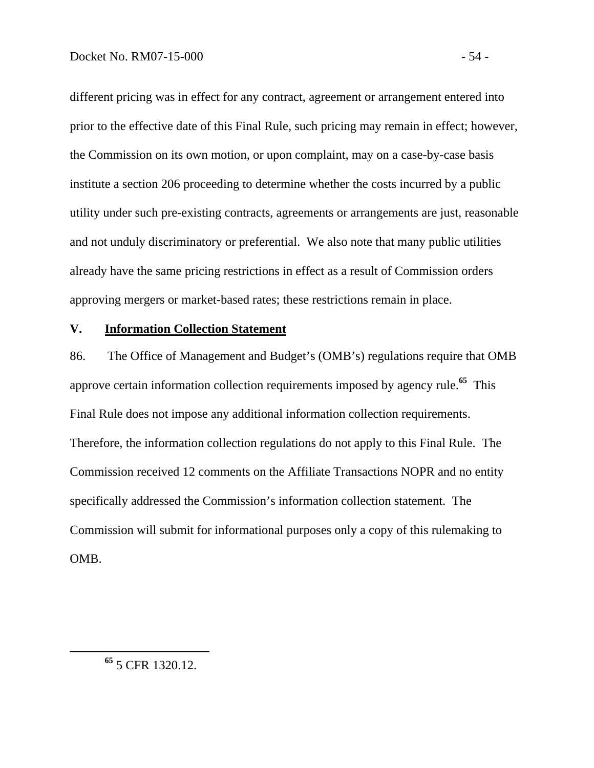different pricing was in effect for any contract, agreement or arrangement entered into prior to the effective date of this Final Rule, such pricing may remain in effect; however, the Commission on its own motion, or upon complaint, may on a case-by-case basis institute a section 206 proceeding to determine whether the costs incurred by a public utility under such pre-existing contracts, agreements or arrangements are just, reasonable and not unduly discriminatory or preferential. We also note that many public utilities already have the same pricing restrictions in effect as a result of Commission orders approving mergers or market-based rates; these restrictions remain in place.

### **V. Information Collection Statement**

86. The Office of Management and Budget's (OMB's) regulations require that OMB approve certain information collection requirements imposed by agency rule.**<sup>65</sup>** This Final Rule does not impose any additional information collection requirements. Therefore, the information collection regulations do not apply to this Final Rule. The Commission received 12 comments on the Affiliate Transactions NOPR and no entity specifically addressed the Commission's information collection statement. The Commission will submit for informational purposes only a copy of this rulemaking to OMB.

**<sup>65</sup>** 5 CFR 1320.12.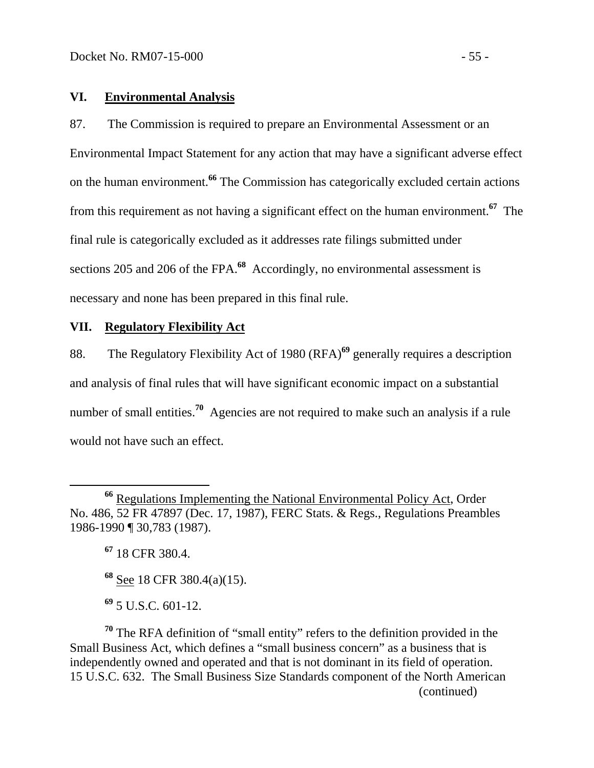## **VI. Environmental Analysis**

87. The Commission is required to prepare an Environmental Assessment or an Environmental Impact Statement for any action that may have a significant adverse effect on the human environment.**<sup>66</sup>** The Commission has categorically excluded certain actions from this requirement as not having a significant effect on the human environment.**<sup>67</sup>** The final rule is categorically excluded as it addresses rate filings submitted under sections 205 and 206 of the FPA.**<sup>68</sup>** Accordingly, no environmental assessment is necessary and none has been prepared in this final rule.

# **VII. Regulatory Flexibility Act**

88. The Regulatory Flexibility Act of 1980 (RFA)**<sup>69</sup>** generally requires a description and analysis of final rules that will have significant economic impact on a substantial number of small entities.<sup>70</sup> Agencies are not required to make such an analysis if a rule would not have such an effect.

**<sup>67</sup>** 18 CFR 380.4.

**<sup>68</sup>** See 18 CFR 380.4(a)(15).

**<sup>69</sup>** 5 U.S.C. 601-12.

**<sup>70</sup>** The RFA definition of "small entity" refers to the definition provided in the Small Business Act, which defines a "small business concern" as a business that is independently owned and operated and that is not dominant in its field of operation. 15 U.S.C. 632. The Small Business Size Standards component of the North American (continued)

**<sup>66</sup>** Regulations Implementing the National Environmental Policy Act, Order No. 486, 52 FR 47897 (Dec. 17, 1987), FERC Stats. & Regs., Regulations Preambles 1986-1990 ¶ 30,783 (1987).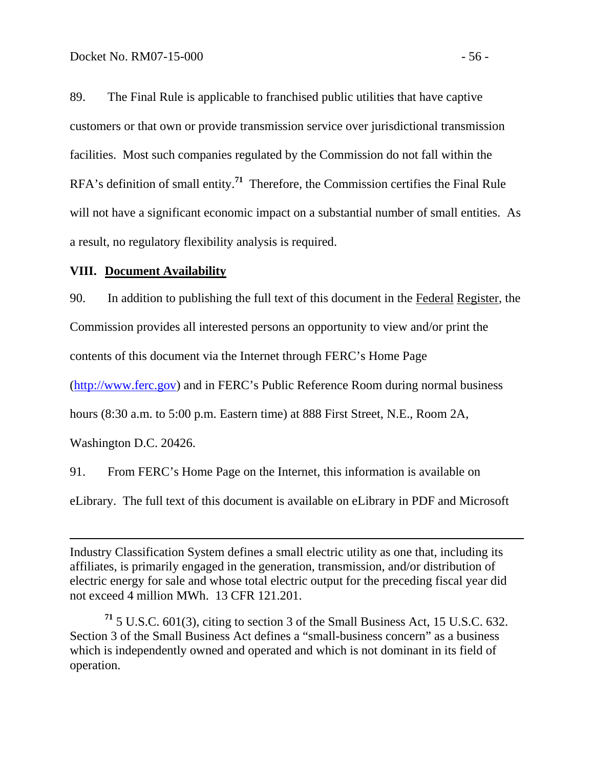89. The Final Rule is applicable to franchised public utilities that have captive customers or that own or provide transmission service over jurisdictional transmission facilities. Most such companies regulated by the Commission do not fall within the RFA's definition of small entity.**<sup>71</sup>** Therefore, the Commission certifies the Final Rule will not have a significant economic impact on a substantial number of small entities. As a result, no regulatory flexibility analysis is required.

## **VIII. Document Availability**

90. In addition to publishing the full text of this document in the Federal Register, the

Commission provides all interested persons an opportunity to view and/or print the

contents of this document via the Internet through FERC's Home Page

(http://www.ferc.gov) and in FERC's Public Reference Room during normal business

hours (8:30 a.m. to 5:00 p.m. Eastern time) at 888 First Street, N.E., Room 2A,

Washington D.C. 20426.

 $\overline{a}$ 

91. From FERC's Home Page on the Internet, this information is available on

eLibrary. The full text of this document is available on eLibrary in PDF and Microsoft

Industry Classification System defines a small electric utility as one that, including its affiliates, is primarily engaged in the generation, transmission, and/or distribution of electric energy for sale and whose total electric output for the preceding fiscal year did not exceed 4 million MWh. 13 CFR 121.201.

**<sup>71</sup>** 5 U.S.C. 601(3), citing to section 3 of the Small Business Act, 15 U.S.C. 632. Section 3 of the Small Business Act defines a "small-business concern" as a business which is independently owned and operated and which is not dominant in its field of operation.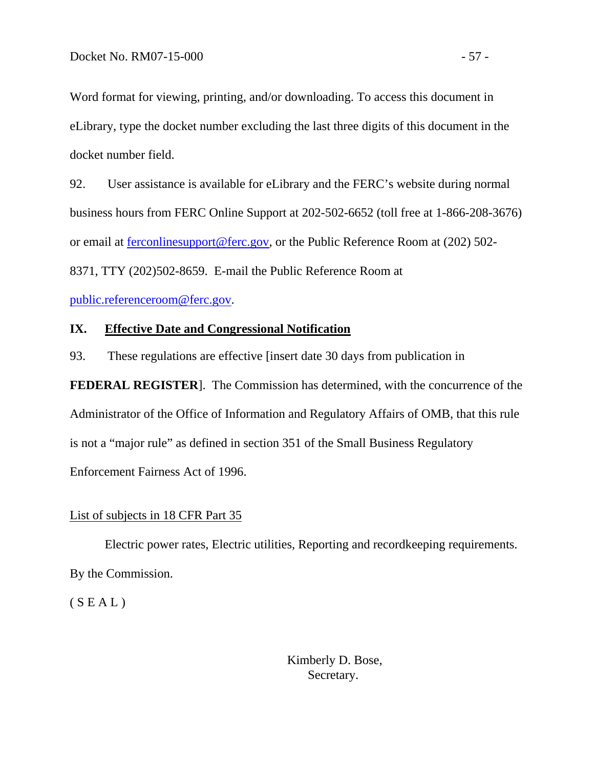Word format for viewing, printing, and/or downloading. To access this document in eLibrary, type the docket number excluding the last three digits of this document in the docket number field.

92. User assistance is available for eLibrary and the FERC's website during normal business hours from FERC Online Support at 202-502-6652 (toll free at 1-866-208-3676) or email at ferconlinesupport@ferc.gov, or the Public Reference Room at (202) 502- 8371, TTY (202)502-8659. E-mail the Public Reference Room at

public.referenceroom@ferc.gov.

## **IX. Effective Date and Congressional Notification**

93. These regulations are effective [insert date 30 days from publication in

**FEDERAL REGISTER**]. The Commission has determined, with the concurrence of the Administrator of the Office of Information and Regulatory Affairs of OMB, that this rule is not a "major rule" as defined in section 351 of the Small Business Regulatory Enforcement Fairness Act of 1996.

## List of subjects in 18 CFR Part 35

Electric power rates, Electric utilities, Reporting and recordkeeping requirements. By the Commission.

 $(S E A L)$ 

 Kimberly D. Bose, Secretary.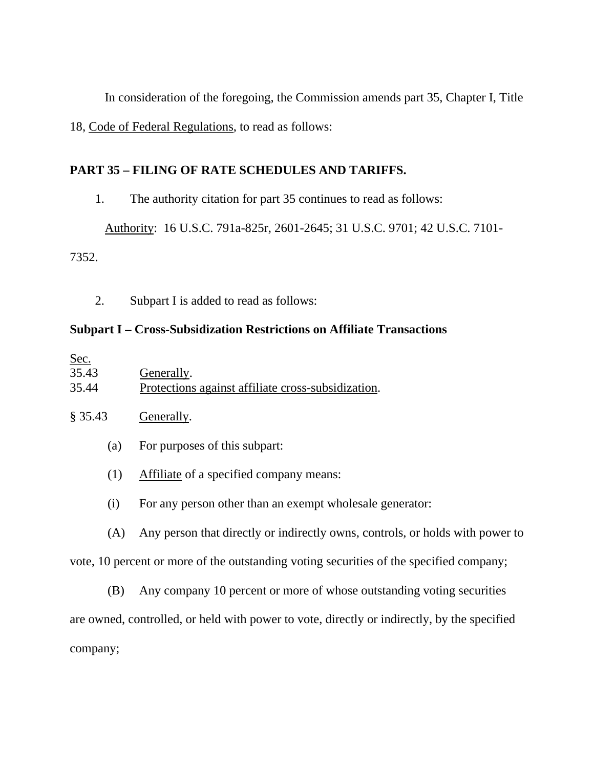In consideration of the foregoing, the Commission amends part 35, Chapter I, Title 18, Code of Federal Regulations, to read as follows:

# **PART 35 – FILING OF RATE SCHEDULES AND TARIFFS.**

1. The authority citation for part 35 continues to read as follows:

Authority: 16 U.S.C. 791a-825r, 2601-2645; 31 U.S.C. 9701; 42 U.S.C. 7101-

7352.

2. Subpart I is added to read as follows:

# **Subpart I – Cross-Subsidization Restrictions on Affiliate Transactions**

| Sec.  |                                                    |
|-------|----------------------------------------------------|
| 35.43 | Generally.                                         |
| 35.44 | Protections against affiliate cross-subsidization. |

# § 35.43 Generally.

- (a) For purposes of this subpart:
- (1) Affiliate of a specified company means:
- (i) For any person other than an exempt wholesale generator:

(A) Any person that directly or indirectly owns, controls, or holds with power to

vote, 10 percent or more of the outstanding voting securities of the specified company;

 (B) Any company 10 percent or more of whose outstanding voting securities are owned, controlled, or held with power to vote, directly or indirectly, by the specified company;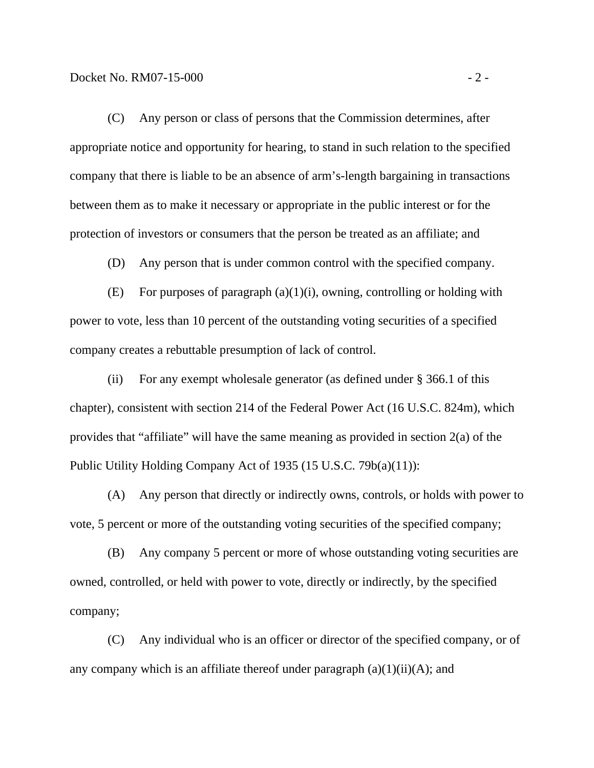(C) Any person or class of persons that the Commission determines, after appropriate notice and opportunity for hearing, to stand in such relation to the specified company that there is liable to be an absence of arm's-length bargaining in transactions between them as to make it necessary or appropriate in the public interest or for the protection of investors or consumers that the person be treated as an affiliate; and

(D) Any person that is under common control with the specified company.

(E) For purposes of paragraph  $(a)(1)(i)$ , owning, controlling or holding with power to vote, less than 10 percent of the outstanding voting securities of a specified company creates a rebuttable presumption of lack of control.

 (ii) For any exempt wholesale generator (as defined under § 366.1 of this chapter), consistent with section 214 of the Federal Power Act (16 U.S.C. 824m), which provides that "affiliate" will have the same meaning as provided in section 2(a) of the Public Utility Holding Company Act of 1935 (15 U.S.C. 79b(a)(11)):

 (A) Any person that directly or indirectly owns, controls, or holds with power to vote, 5 percent or more of the outstanding voting securities of the specified company;

 (B) Any company 5 percent or more of whose outstanding voting securities are owned, controlled, or held with power to vote, directly or indirectly, by the specified company;

 (C) Any individual who is an officer or director of the specified company, or of any company which is an affiliate thereof under paragraph  $(a)(1)(ii)(A)$ ; and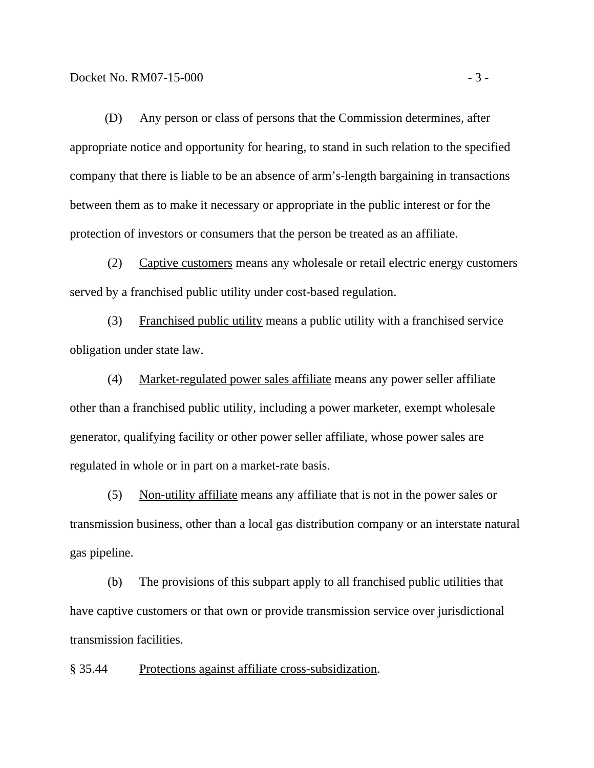(D) Any person or class of persons that the Commission determines, after appropriate notice and opportunity for hearing, to stand in such relation to the specified company that there is liable to be an absence of arm's-length bargaining in transactions between them as to make it necessary or appropriate in the public interest or for the protection of investors or consumers that the person be treated as an affiliate.

 (2) Captive customers means any wholesale or retail electric energy customers served by a franchised public utility under cost-based regulation.

 (3) Franchised public utility means a public utility with a franchised service obligation under state law.

 (4) Market-regulated power sales affiliate means any power seller affiliate other than a franchised public utility, including a power marketer, exempt wholesale generator, qualifying facility or other power seller affiliate, whose power sales are regulated in whole or in part on a market-rate basis.

 (5) Non-utility affiliate means any affiliate that is not in the power sales or transmission business, other than a local gas distribution company or an interstate natural gas pipeline.

 (b) The provisions of this subpart apply to all franchised public utilities that have captive customers or that own or provide transmission service over jurisdictional transmission facilities.

§ 35.44 Protections against affiliate cross-subsidization.